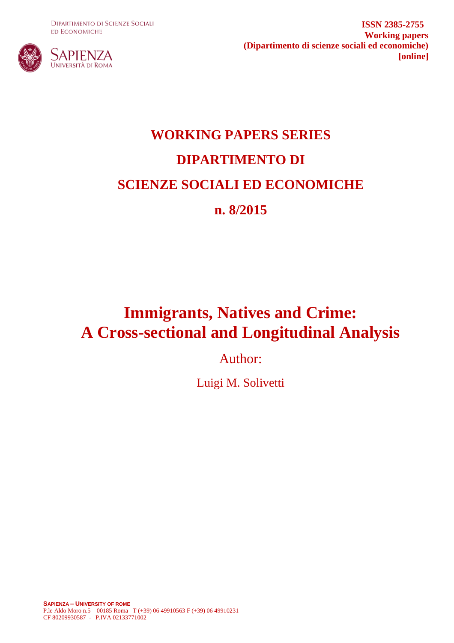**DIPARTIMENTO DI SCIENZE SOCIALI ED ECONOMICHE** 



**ISSN 2385-2755 Working papers (Dipartimento di scienze sociali ed economiche) [online]**

# **WORKING PAPERS SERIES DIPARTIMENTO DI SCIENZE SOCIALI ED ECONOMICHE n. 8/2015**

## **Immigrants, Natives and Crime: A Cross-sectional and Longitudinal Analysis**

Author:

Luigi M. Solivetti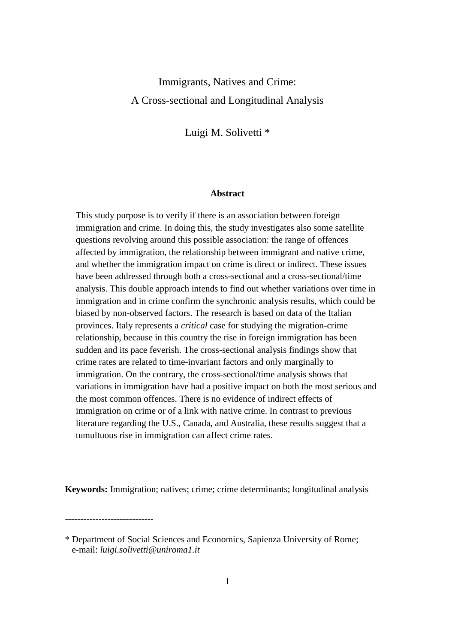### Immigrants, Natives and Crime: A Cross-sectional and Longitudinal Analysis

Luigi M. Solivetti \*

#### **Abstract**

This study purpose is to verify if there is an association between foreign immigration and crime. In doing this, the study investigates also some satellite questions revolving around this possible association: the range of offences affected by immigration, the relationship between immigrant and native crime, and whether the immigration impact on crime is direct or indirect. These issues have been addressed through both a cross-sectional and a cross-sectional/time analysis. This double approach intends to find out whether variations over time in immigration and in crime confirm the synchronic analysis results, which could be biased by non-observed factors. The research is based on data of the Italian provinces. Italy represents a *critical* case for studying the migration-crime relationship, because in this country the rise in foreign immigration has been sudden and its pace feverish. The cross-sectional analysis findings show that crime rates are related to time-invariant factors and only marginally to immigration. On the contrary, the cross-sectional/time analysis shows that variations in immigration have had a positive impact on both the most serious and the most common offences. There is no evidence of indirect effects of immigration on crime or of a link with native crime. In contrast to previous literature regarding the U.S., Canada, and Australia, these results suggest that a tumultuous rise in immigration can affect crime rates.

**Keywords:** Immigration; natives; crime; crime determinants; longitudinal analysis

\* Department of Social Sciences and Economics, Sapienza University of Rome; e-mail: *luigi.solivetti@uniroma1.it*

-----------------------------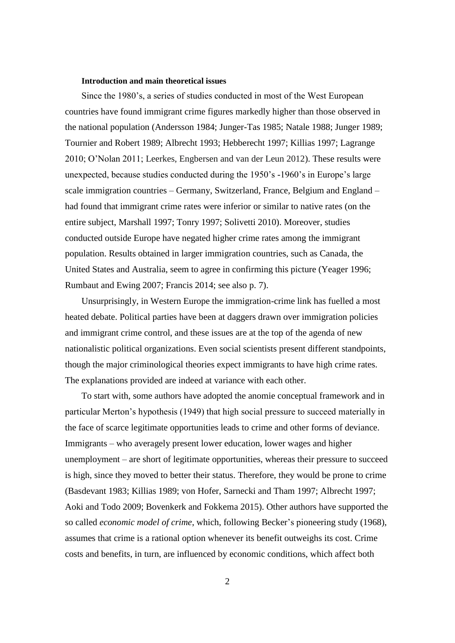#### **Introduction and main theoretical issues**

Since the 1980's, a series of studies conducted in most of the West European countries have found immigrant crime figures markedly higher than those observed in the national population (Andersson 1984; Junger-Tas 1985; Natale 1988; Junger 1989; Tournier and Robert 1989; Albrecht 1993; Hebberecht 1997; Killias 1997; Lagrange 2010; O'Nolan 2011; Leerkes, Engbersen and van der Leun 2012). These results were unexpected, because studies conducted during the 1950's -1960's in Europe's large scale immigration countries – Germany, Switzerland, France, Belgium and England – had found that immigrant crime rates were inferior or similar to native rates (on the entire subject, Marshall 1997; Tonry 1997; Solivetti 2010). Moreover, studies conducted outside Europe have negated higher crime rates among the immigrant population. Results obtained in larger immigration countries, such as Canada, the United States and Australia, seem to agree in confirming this picture (Yeager 1996; Rumbaut and Ewing 2007; Francis 2014; see also p. 7).

Unsurprisingly, in Western Europe the immigration-crime link has fuelled a most heated debate. Political parties have been at daggers drawn over immigration policies and immigrant crime control, and these issues are at the top of the agenda of new nationalistic political organizations. Even social scientists present different standpoints, though the major criminological theories expect immigrants to have high crime rates. The explanations provided are indeed at variance with each other.

To start with, some authors have adopted the anomie conceptual framework and in particular Merton's hypothesis (1949) that high social pressure to succeed materially in the face of scarce legitimate opportunities leads to crime and other forms of deviance. Immigrants – who averagely present lower education, lower wages and higher unemployment – are short of legitimate opportunities, whereas their pressure to succeed is high, since they moved to better their status. Therefore, they would be prone to crime (Basdevant 1983; Killias 1989; von Hofer, Sarnecki and Tham 1997; Albrecht 1997; Aoki and Todo 2009; Bovenkerk and Fokkema 2015). Other authors have supported the so called *economic model of crime*, which, following Becker's pioneering study (1968), assumes that crime is a rational option whenever its benefit outweighs its cost. Crime costs and benefits, in turn, are influenced by economic conditions, which affect both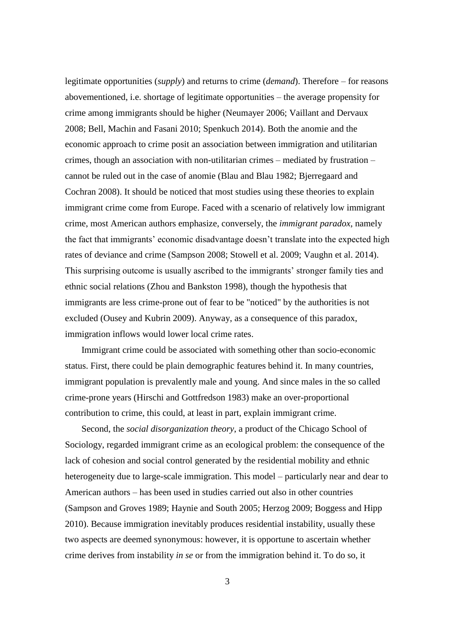legitimate opportunities (*supply*) and returns to crime (*demand*). Therefore – for reasons abovementioned, i.e. shortage of legitimate opportunities – the average propensity for crime among immigrants should be higher (Neumayer 2006; Vaillant and Dervaux 2008; Bell, Machin and Fasani 2010; Spenkuch 2014). Both the anomie and the economic approach to crime posit an association between immigration and utilitarian crimes, though an association with non-utilitarian crimes – mediated by frustration – cannot be ruled out in the case of anomie (Blau and Blau 1982; Bjerregaard and Cochran 2008). It should be noticed that most studies using these theories to explain immigrant crime come from Europe. Faced with a scenario of relatively low immigrant crime, most American authors emphasize, conversely, the *immigrant paradox*, namely the fact that immigrants' economic disadvantage doesn't translate into the expected high rates of deviance and crime (Sampson 2008; Stowell et al. 2009; Vaughn et al. 2014). This surprising outcome is usually ascribed to the immigrants' stronger family ties and ethnic social relations (Zhou and Bankston 1998), though the hypothesis that immigrants are less crime-prone out of fear to be "noticed" by the authorities is not excluded (Ousey and Kubrin 2009). Anyway, as a consequence of this paradox, immigration inflows would lower local crime rates.

Immigrant crime could be associated with something other than socio-economic status. First, there could be plain demographic features behind it. In many countries, immigrant population is prevalently male and young. And since males in the so called crime-prone years (Hirschi and Gottfredson 1983) make an over-proportional contribution to crime, this could, at least in part, explain immigrant crime.

Second, the *social disorganization theory*, a product of the Chicago School of Sociology, regarded immigrant crime as an ecological problem: the consequence of the lack of cohesion and social control generated by the residential mobility and ethnic heterogeneity due to large-scale immigration. This model – particularly near and dear to American authors – has been used in studies carried out also in other countries (Sampson and Groves 1989; Haynie and South 2005; Herzog 2009; Boggess and Hipp 2010). Because immigration inevitably produces residential instability, usually these two aspects are deemed synonymous: however, it is opportune to ascertain whether crime derives from instability *in se* or from the immigration behind it. To do so, it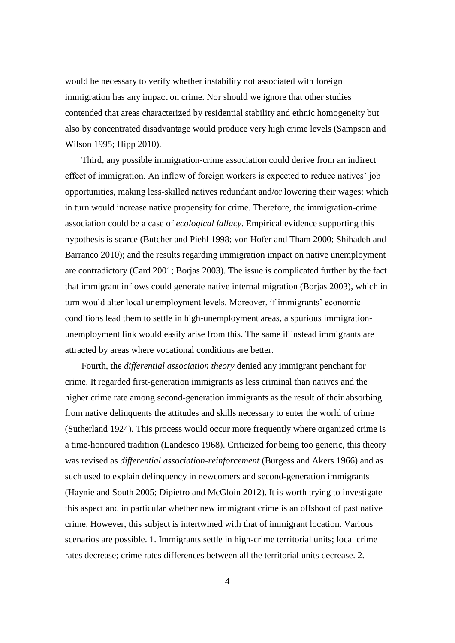would be necessary to verify whether instability not associated with foreign immigration has any impact on crime. Nor should we ignore that other studies contended that areas characterized by residential stability and ethnic homogeneity but also by concentrated disadvantage would produce very high crime levels (Sampson and Wilson 1995; Hipp 2010).

Third, any possible immigration-crime association could derive from an indirect effect of immigration. An inflow of foreign workers is expected to reduce natives' job opportunities, making less-skilled natives redundant and/or lowering their wages: which in turn would increase native propensity for crime. Therefore, the immigration-crime association could be a case of *ecological fallacy*. Empirical evidence supporting this hypothesis is scarce (Butcher and Piehl 1998; von Hofer and Tham 2000; Shihadeh and Barranco 2010); and the results regarding immigration impact on native unemployment are contradictory (Card 2001; Borjas 2003). The issue is complicated further by the fact that immigrant inflows could generate native internal migration (Borjas 2003), which in turn would alter local unemployment levels. Moreover, if immigrants' economic conditions lead them to settle in high-unemployment areas, a spurious immigrationunemployment link would easily arise from this. The same if instead immigrants are attracted by areas where vocational conditions are better.

Fourth, the *differential association theory* denied any immigrant penchant for crime. It regarded first-generation immigrants as less criminal than natives and the higher crime rate among second-generation immigrants as the result of their absorbing from native delinquents the attitudes and skills necessary to enter the world of crime (Sutherland 1924). This process would occur more frequently where organized crime is a time-honoured tradition (Landesco 1968). Criticized for being too generic, this theory was revised as *differential association-reinforcement* (Burgess and Akers 1966) and as such used to explain delinquency in newcomers and second-generation immigrants (Haynie and South 2005; Dipietro and McGloin 2012). It is worth trying to investigate this aspect and in particular whether new immigrant crime is an offshoot of past native crime. However, this subject is intertwined with that of immigrant location. Various scenarios are possible. 1. Immigrants settle in high-crime territorial units; local crime rates decrease; crime rates differences between all the territorial units decrease. 2.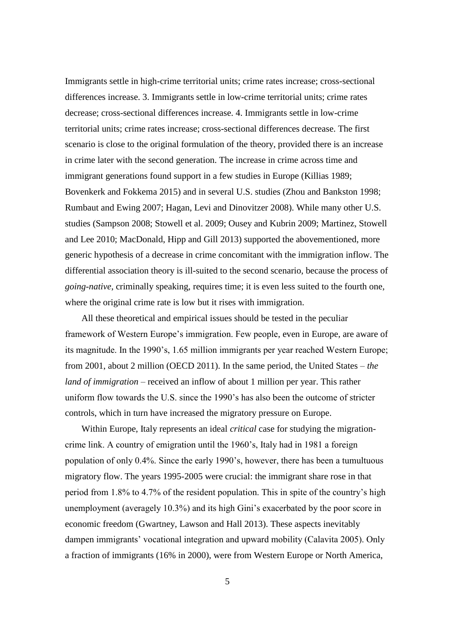Immigrants settle in high-crime territorial units; crime rates increase; cross-sectional differences increase. 3. Immigrants settle in low-crime territorial units; crime rates decrease; cross-sectional differences increase. 4. Immigrants settle in low-crime territorial units; crime rates increase; cross-sectional differences decrease. The first scenario is close to the original formulation of the theory, provided there is an increase in crime later with the second generation. The increase in crime across time and immigrant generations found support in a few studies in Europe (Killias 1989; Bovenkerk and Fokkema 2015) and in several U.S. studies (Zhou and Bankston 1998; Rumbaut and Ewing 2007; Hagan, Levi and Dinovitzer 2008). While many other U.S. studies (Sampson 2008; Stowell et al. 2009; Ousey and Kubrin 2009; Martinez, Stowell and Lee 2010; MacDonald, Hipp and Gill 2013) supported the abovementioned, more generic hypothesis of a decrease in crime concomitant with the immigration inflow. The differential association theory is ill-suited to the second scenario, because the process of *going-native*, criminally speaking, requires time; it is even less suited to the fourth one, where the original crime rate is low but it rises with immigration.

All these theoretical and empirical issues should be tested in the peculiar framework of Western Europe's immigration. Few people, even in Europe, are aware of its magnitude. In the 1990's, 1.65 million immigrants per year reached Western Europe; from 2001, about 2 million (OECD 2011). In the same period, the United States – *the land of immigration* – received an inflow of about 1 million per year. This rather uniform flow towards the U.S. since the 1990's has also been the outcome of stricter controls, which in turn have increased the migratory pressure on Europe.

Within Europe, Italy represents an ideal *critical* case for studying the migrationcrime link. A country of emigration until the 1960's, Italy had in 1981 a foreign population of only 0.4%. Since the early 1990's, however, there has been a tumultuous migratory flow. The years 1995-2005 were crucial: the immigrant share rose in that period from 1.8% to 4.7% of the resident population. This in spite of the country's high unemployment (averagely 10.3%) and its high Gini's exacerbated by the poor score in economic freedom (Gwartney, Lawson and Hall 2013). These aspects inevitably dampen immigrants' vocational integration and upward mobility (Calavita 2005). Only a fraction of immigrants (16% in 2000), were from Western Europe or North America,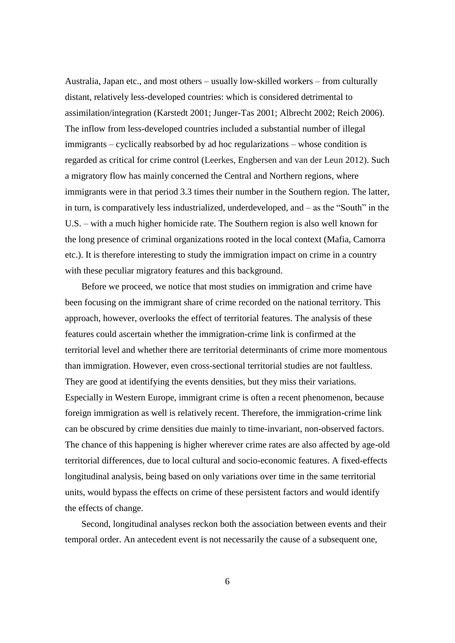Australia, Japan etc., and most others – usually low-skilled workers – from culturally distant, relatively less-developed countries: which is considered detrimental to assimilation/integration (Karstedt 2001; Junger-Tas 2001; Albrecht 2002; Reich 2006). The inflow from less-developed countries included a substantial number of illegal immigrants – cyclically reabsorbed by ad hoc regularizations – whose condition is regarded as critical for crime control (Leerkes, Engbersen and van der Leun 2012). Such a migratory flow has mainly concerned the Central and Northern regions, where immigrants were in that period 3.3 times their number in the Southern region. The latter, in turn, is comparatively less industrialized, underdeveloped, and – as the "South" in the U.S. – with a much higher homicide rate. The Southern region is also well known for the long presence of criminal organizations rooted in the local context (Mafia, Camorra etc.). It is therefore interesting to study the immigration impact on crime in a country with these peculiar migratory features and this background.

Before we proceed, we notice that most studies on immigration and crime have been focusing on the immigrant share of crime recorded on the national territory. This approach, however, overlooks the effect of territorial features. The analysis of these features could ascertain whether the immigration-crime link is confirmed at the territorial level and whether there are territorial determinants of crime more momentous than immigration. However, even cross-sectional territorial studies are not faultless. They are good at identifying the events densities, but they miss their variations. Especially in Western Europe, immigrant crime is often a recent phenomenon, because foreign immigration as well is relatively recent. Therefore, the immigration-crime link can be obscured by crime densities due mainly to time-invariant, non-observed factors. The chance of this happening is higher wherever crime rates are also affected by age-old territorial differences, due to local cultural and socio-economic features. A fixed-effects longitudinal analysis, being based on only variations over time in the same territorial units, would bypass the effects on crime of these persistent factors and would identify the effects of change.

Second, longitudinal analyses reckon both the association between events and their temporal order. An antecedent event is not necessarily the cause of a subsequent one,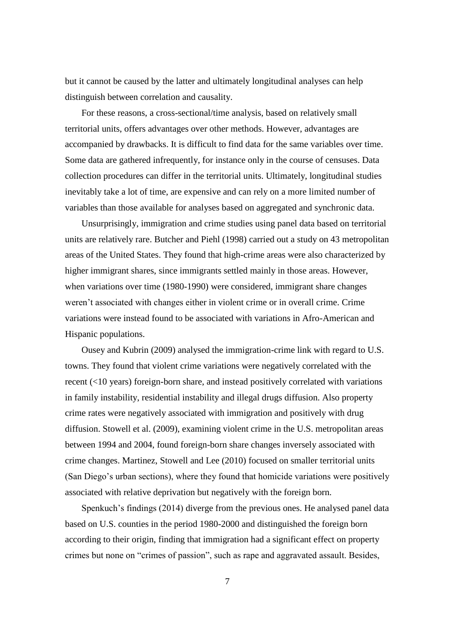but it cannot be caused by the latter and ultimately longitudinal analyses can help distinguish between correlation and causality.

For these reasons, a cross-sectional/time analysis, based on relatively small territorial units, offers advantages over other methods. However, advantages are accompanied by drawbacks. It is difficult to find data for the same variables over time. Some data are gathered infrequently, for instance only in the course of censuses. Data collection procedures can differ in the territorial units. Ultimately, longitudinal studies inevitably take a lot of time, are expensive and can rely on a more limited number of variables than those available for analyses based on aggregated and synchronic data.

Unsurprisingly, immigration and crime studies using panel data based on territorial units are relatively rare. Butcher and Piehl (1998) carried out a study on 43 metropolitan areas of the United States. They found that high-crime areas were also characterized by higher immigrant shares, since immigrants settled mainly in those areas. However, when variations over time (1980-1990) were considered, immigrant share changes weren't associated with changes either in violent crime or in overall crime. Crime variations were instead found to be associated with variations in Afro-American and Hispanic populations.

Ousey and Kubrin (2009) analysed the immigration-crime link with regard to U.S. towns. They found that violent crime variations were negatively correlated with the recent (<10 years) foreign-born share, and instead positively correlated with variations in family instability, residential instability and illegal drugs diffusion. Also property crime rates were negatively associated with immigration and positively with drug diffusion. Stowell et al. (2009), examining violent crime in the U.S. metropolitan areas between 1994 and 2004, found foreign-born share changes inversely associated with crime changes. Martinez, Stowell and Lee (2010) focused on smaller territorial units (San Diego's urban sections), where they found that homicide variations were positively associated with relative deprivation but negatively with the foreign born.

Spenkuch's findings (2014) diverge from the previous ones. He analysed panel data based on U.S. counties in the period 1980-2000 and distinguished the foreign born according to their origin, finding that immigration had a significant effect on property crimes but none on "crimes of passion", such as rape and aggravated assault. Besides,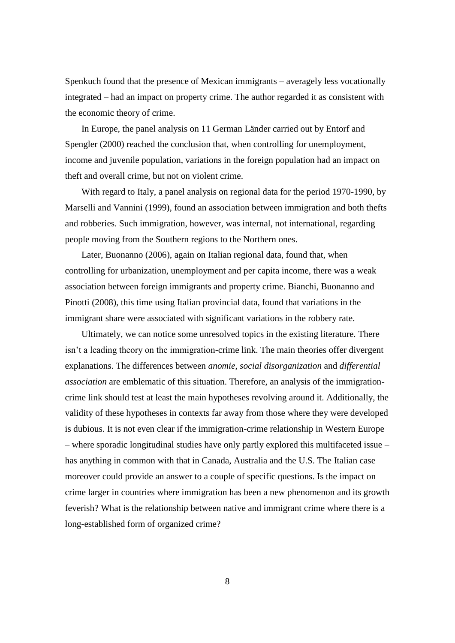Spenkuch found that the presence of Mexican immigrants – averagely less vocationally integrated – had an impact on property crime. The author regarded it as consistent with the economic theory of crime.

In Europe, the panel analysis on 11 German Länder carried out by Entorf and Spengler (2000) reached the conclusion that, when controlling for unemployment, income and juvenile population, variations in the foreign population had an impact on theft and overall crime, but not on violent crime.

With regard to Italy, a panel analysis on regional data for the period 1970-1990, by Marselli and Vannini (1999), found an association between immigration and both thefts and robberies. Such immigration, however, was internal, not international, regarding people moving from the Southern regions to the Northern ones.

Later, Buonanno (2006), again on Italian regional data, found that, when controlling for urbanization, unemployment and per capita income, there was a weak association between foreign immigrants and property crime. Bianchi, Buonanno and Pinotti (2008), this time using Italian provincial data, found that variations in the immigrant share were associated with significant variations in the robbery rate.

Ultimately, we can notice some unresolved topics in the existing literature. There isn't a leading theory on the immigration-crime link. The main theories offer divergent explanations. The differences between *anomie*, *social disorganization* and *differential association* are emblematic of this situation. Therefore, an analysis of the immigrationcrime link should test at least the main hypotheses revolving around it. Additionally, the validity of these hypotheses in contexts far away from those where they were developed is dubious. It is not even clear if the immigration-crime relationship in Western Europe – where sporadic longitudinal studies have only partly explored this multifaceted issue – has anything in common with that in Canada, Australia and the U.S. The Italian case moreover could provide an answer to a couple of specific questions. Is the impact on crime larger in countries where immigration has been a new phenomenon and its growth feverish? What is the relationship between native and immigrant crime where there is a long-established form of organized crime?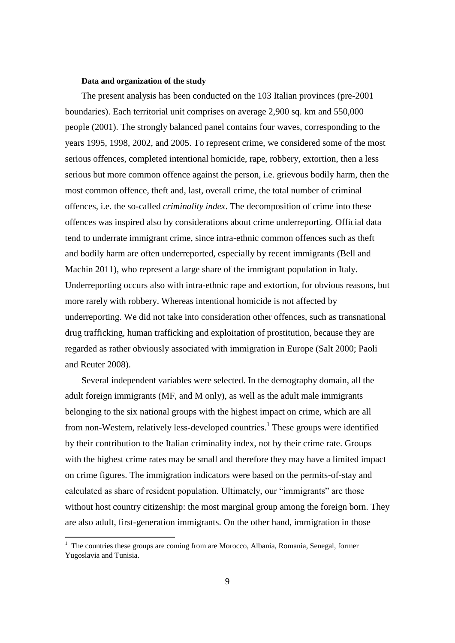#### **Data and organization of the study**

The present analysis has been conducted on the 103 Italian provinces (pre-2001 boundaries). Each territorial unit comprises on average 2,900 sq. km and 550,000 people (2001). The strongly balanced panel contains four waves, corresponding to the years 1995, 1998, 2002, and 2005. To represent crime, we considered some of the most serious offences, completed intentional homicide, rape, robbery, extortion, then a less serious but more common offence against the person, i.e. grievous bodily harm, then the most common offence, theft and, last, overall crime, the total number of criminal offences, i.e. the so-called *criminality index*. The decomposition of crime into these offences was inspired also by considerations about crime underreporting. Official data tend to underrate immigrant crime, since intra-ethnic common offences such as theft and bodily harm are often underreported, especially by recent immigrants (Bell and Machin 2011), who represent a large share of the immigrant population in Italy. Underreporting occurs also with intra-ethnic rape and extortion, for obvious reasons, but more rarely with robbery. Whereas intentional homicide is not affected by underreporting. We did not take into consideration other offences, such as transnational drug trafficking, human trafficking and exploitation of prostitution, because they are regarded as rather obviously associated with immigration in Europe (Salt 2000; Paoli and Reuter 2008).

Several independent variables were selected. In the demography domain, all the adult foreign immigrants (MF, and M only), as well as the adult male immigrants belonging to the six national groups with the highest impact on crime, which are all from non-Western, relatively less-developed countries.<sup>1</sup> These groups were identified by their contribution to the Italian criminality index, not by their crime rate. Groups with the highest crime rates may be small and therefore they may have a limited impact on crime figures. The immigration indicators were based on the permits-of-stay and calculated as share of resident population. Ultimately, our "immigrants" are those without host country citizenship: the most marginal group among the foreign born. They are also adult, first-generation immigrants. On the other hand, immigration in those

<sup>&</sup>lt;sup>1</sup> The countries these groups are coming from are Morocco, Albania, Romania, Senegal, former Yugoslavia and Tunisia.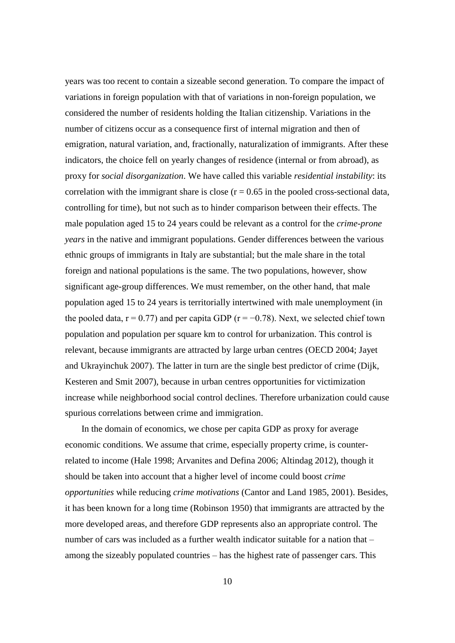years was too recent to contain a sizeable second generation. To compare the impact of variations in foreign population with that of variations in non-foreign population, we considered the number of residents holding the Italian citizenship. Variations in the number of citizens occur as a consequence first of internal migration and then of emigration, natural variation, and, fractionally, naturalization of immigrants. After these indicators, the choice fell on yearly changes of residence (internal or from abroad), as proxy for *social disorganization*. We have called this variable *residential instability*: its correlation with the immigrant share is close  $(r = 0.65$  in the pooled cross-sectional data, controlling for time), but not such as to hinder comparison between their effects. The male population aged 15 to 24 years could be relevant as a control for the *crime-prone years* in the native and immigrant populations. Gender differences between the various ethnic groups of immigrants in Italy are substantial; but the male share in the total foreign and national populations is the same. The two populations, however, show significant age-group differences. We must remember, on the other hand, that male population aged 15 to 24 years is territorially intertwined with male unemployment (in the pooled data,  $r = 0.77$ ) and per capita GDP ( $r = -0.78$ ). Next, we selected chief town population and population per square km to control for urbanization. This control is relevant, because immigrants are attracted by large urban centres (OECD 2004; Jayet and Ukrayinchuk 2007). The latter in turn are the single best predictor of crime (Dijk, Kesteren and Smit 2007), because in urban centres opportunities for victimization increase while neighborhood social control declines. Therefore urbanization could cause spurious correlations between crime and immigration.

In the domain of economics, we chose per capita GDP as proxy for average economic conditions. We assume that crime, especially property crime, is counterrelated to income (Hale 1998; Arvanites and Defina 2006; Altindag 2012), though it should be taken into account that a higher level of income could boost *crime opportunities* while reducing *crime motivations* (Cantor and Land 1985, 2001). Besides, it has been known for a long time (Robinson 1950) that immigrants are attracted by the more developed areas, and therefore GDP represents also an appropriate control. The number of cars was included as a further wealth indicator suitable for a nation that – among the sizeably populated countries – has the highest rate of passenger cars. This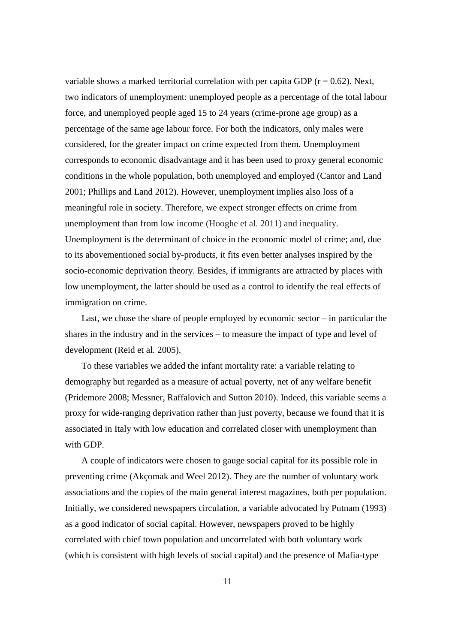variable shows a marked territorial correlation with per capita GDP  $(r = 0.62)$ . Next, two indicators of unemployment: unemployed people as a percentage of the total labour force, and unemployed people aged 15 to 24 years (crime-prone age group) as a percentage of the same age labour force. For both the indicators, only males were considered, for the greater impact on crime expected from them. Unemployment corresponds to economic disadvantage and it has been used to proxy general economic conditions in the whole population, both unemployed and employed (Cantor and Land 2001; Phillips and Land 2012). However, unemployment implies also loss of a meaningful role in society. Therefore, we expect stronger effects on crime from unemployment than from low income (Hooghe et al. 2011) and inequality. Unemployment is the determinant of choice in the economic model of crime; and, due to its abovementioned social by-products, it fits even better analyses inspired by the socio-economic deprivation theory. Besides, if immigrants are attracted by places with low unemployment, the latter should be used as a control to identify the real effects of immigration on crime.

Last, we chose the share of people employed by economic sector – in particular the shares in the industry and in the services – to measure the impact of type and level of development (Reid et al. 2005).

To these variables we added the infant mortality rate: a variable relating to demography but regarded as a measure of actual poverty, net of any welfare benefit (Pridemore 2008; Messner, Raffalovich and Sutton 2010). Indeed, this variable seems a proxy for wide-ranging deprivation rather than just poverty, because we found that it is associated in Italy with low education and correlated closer with unemployment than with GDP.

A couple of indicators were chosen to gauge social capital for its possible role in preventing crime (Akçomak and Weel 2012). They are the number of voluntary work associations and the copies of the main general interest magazines, both per population. Initially, we considered newspapers circulation, a variable advocated by Putnam (1993) as a good indicator of social capital. However, newspapers proved to be highly correlated with chief town population and uncorrelated with both voluntary work (which is consistent with high levels of social capital) and the presence of Mafia-type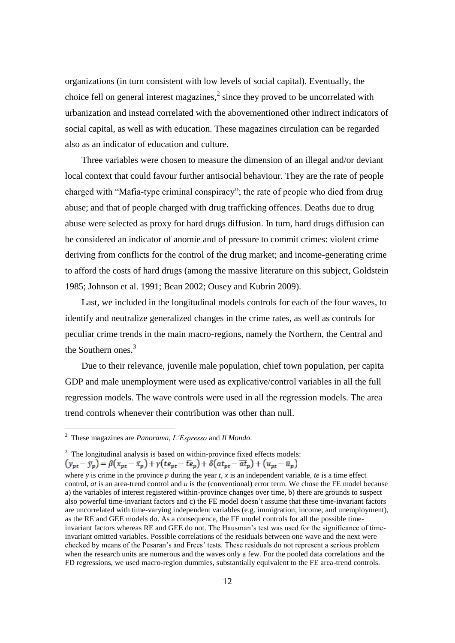organizations (in turn consistent with low levels of social capital). Eventually, the choice fell on general interest magazines, $\lambda^2$  since they proved to be uncorrelated with urbanization and instead correlated with the abovementioned other indirect indicators of social capital, as well as with education. These magazines circulation can be regarded also as an indicator of education and culture.

Three variables were chosen to measure the dimension of an illegal and/or deviant local context that could favour further antisocial behaviour. They are the rate of people charged with "Mafia-type criminal conspiracy"; the rate of people who died from drug abuse; and that of people charged with drug trafficking offences. Deaths due to drug abuse were selected as proxy for hard drugs diffusion. In turn, hard drugs diffusion can be considered an indicator of anomie and of pressure to commit crimes: violent crime deriving from conflicts for the control of the drug market; and income-generating crime to afford the costs of hard drugs (among the massive literature on this subject, Goldstein 1985; Johnson et al. 1991; Bean 2002; Ousey and Kubrin 2009).

Last, we included in the longitudinal models controls for each of the four waves, to identify and neutralize generalized changes in the crime rates, as well as controls for peculiar crime trends in the main macro-regions, namely the Northern, the Central and the Southern ones.<sup>3</sup>

Due to their relevance, juvenile male population, chief town population, per capita GDP and male unemployment were used as explicative/control variables in all the full regression models. The wave controls were used in all the regression models. The area trend controls whenever their contribution was other than null.

<sup>2</sup> These magazines are *Panorama*, *L'Espresso* and *Il Mondo*.

<sup>&</sup>lt;sup>3</sup> The longitudinal analysis is based on within-province fixed effects models:

where *y* is crime in the province *p* during the year *t*, *x* is an independent variable, *te* is a time effect control, *at* is an area-trend control and *u* is the (conventional) error term. We chose the FE model because a) the variables of interest registered within-province changes over time, b) there are grounds to suspect also powerful time-invariant factors and c) the FE model doesn't assume that these time-invariant factors are uncorrelated with time-varying independent variables (e.g. immigration, income, and unemployment), as the RE and GEE models do. As a consequence, the FE model controls for all the possible timeinvariant factors whereas RE and GEE do not. The Hausman's test was used for the significance of timeinvariant omitted variables. Possible correlations of the residuals between one wave and the next were checked by means of the Pesaran's and Frees' tests. These residuals do not represent a serious problem when the research units are numerous and the waves only a few. For the pooled data correlations and the FD regressions, we used macro-region dummies, substantially equivalent to the FE area-trend controls.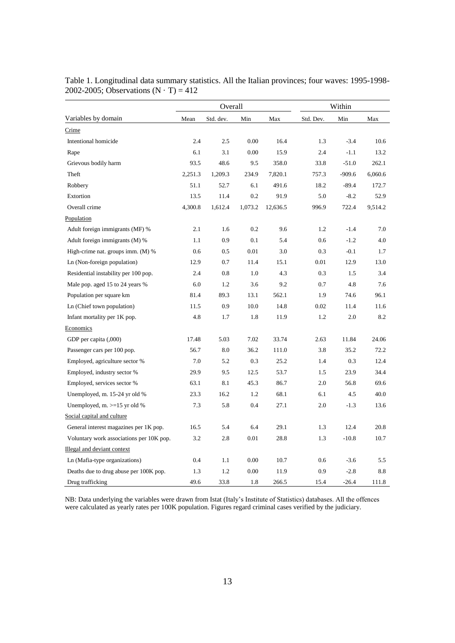|                                          |         | Overall   |         |          |           | Within   |         |  |  |  |
|------------------------------------------|---------|-----------|---------|----------|-----------|----------|---------|--|--|--|
| Variables by domain                      | Mean    | Std. dev. | Min     | Max      | Std. Dev. | Min      | Max     |  |  |  |
| Crime                                    |         |           |         |          |           |          |         |  |  |  |
| Intentional homicide                     | 2.4     | 2.5       | 0.00    | 16.4     | 1.3       | $-3.4$   | 10.6    |  |  |  |
| Rape                                     | 6.1     | 3.1       | 0.00    | 15.9     | 2.4       | $-1.1$   | 13.2    |  |  |  |
| Grievous bodily harm                     | 93.5    | 48.6      | 9.5     | 358.0    | 33.8      | $-51.0$  | 262.1   |  |  |  |
| Theft                                    | 2,251.3 | 1,209.3   | 234.9   | 7,820.1  | 757.3     | $-909.6$ | 6,060.6 |  |  |  |
| Robbery                                  | 51.1    | 52.7      | 6.1     | 491.6    | 18.2      | $-89.4$  | 172.7   |  |  |  |
| Extortion                                | 13.5    | 11.4      | 0.2     | 91.9     | 5.0       | $-8.2$   | 52.9    |  |  |  |
| Overall crime                            | 4,300.8 | 1,612.4   | 1,073.2 | 12,636.5 | 996.9     | 722.4    | 9,514.2 |  |  |  |
| Population                               |         |           |         |          |           |          |         |  |  |  |
| Adult foreign immigrants (MF) %          | 2.1     | 1.6       | 0.2     | 9.6      | 1.2       | $-1.4$   | 7.0     |  |  |  |
| Adult foreign immigrants (M) %           | 1.1     | 0.9       | 0.1     | 5.4      | 0.6       | $-1.2$   | 4.0     |  |  |  |
| High-crime nat. groups imm. (M) %        | 0.6     | 0.5       | 0.01    | 3.0      | 0.3       | $-0.1$   | 1.7     |  |  |  |
| Ln (Non-foreign population)              | 12.9    | 0.7       | 11.4    | 15.1     | 0.01      | 12.9     | 13.0    |  |  |  |
| Residential instability per 100 pop.     | 2.4     | 0.8       | 1.0     | 4.3      | 0.3       | 1.5      | 3.4     |  |  |  |
| Male pop. aged 15 to 24 years %          | 6.0     | 1.2       | 3.6     | 9.2      | 0.7       | 4.8      | 7.6     |  |  |  |
| Population per square km                 | 81.4    | 89.3      | 13.1    | 562.1    | 1.9       | 74.6     | 96.1    |  |  |  |
| Ln (Chief town population)               | 11.5    | 0.9       | 10.0    | 14.8     | 0.02      | 11.4     | 11.6    |  |  |  |
| Infant mortality per 1K pop.             | 4.8     | 1.7       | 1.8     | 11.9     | 1.2       | 2.0      | 8.2     |  |  |  |
| Economics                                |         |           |         |          |           |          |         |  |  |  |
| GDP per capita (,000)                    | 17.48   | 5.03      | 7.02    | 33.74    | 2.63      | 11.84    | 24.06   |  |  |  |
| Passenger cars per 100 pop.              | 56.7    | 8.0       | 36.2    | 111.0    | 3.8       | 35.2     | 72.2    |  |  |  |
| Employed, agriculture sector %           | 7.0     | 5.2       | 0.3     | 25.2     | 1.4       | 0.3      | 12.4    |  |  |  |
| Employed, industry sector %              | 29.9    | 9.5       | 12.5    | 53.7     | 1.5       | 23.9     | 34.4    |  |  |  |
| Employed, services sector %              | 63.1    | 8.1       | 45.3    | 86.7     | 2.0       | 56.8     | 69.6    |  |  |  |
| Unemployed, m. 15-24 yr old %            | 23.3    | 16.2      | 1.2     | 68.1     | 6.1       | 4.5      | 40.0    |  |  |  |
| Unemployed, m. >=15 yr old %             | 7.3     | 5.8       | 0.4     | 27.1     | 2.0       | $-1.3$   | 13.6    |  |  |  |
| Social capital and culture               |         |           |         |          |           |          |         |  |  |  |
| General interest magazines per 1K pop.   | 16.5    | 5.4       | 6.4     | 29.1     | 1.3       | 12.4     | 20.8    |  |  |  |
| Voluntary work associations per 10K pop. | 3.2     | 2.8       | 0.01    | 28.8     | 1.3       | $-10.8$  | 10.7    |  |  |  |
| Illegal and deviant context              |         |           |         |          |           |          |         |  |  |  |
| Ln (Mafia-type organizations)            | 0.4     | 1.1       | 0.00    | 10.7     | 0.6       | $-3.6$   | 5.5     |  |  |  |
| Deaths due to drug abuse per 100K pop.   | 1.3     | 1.2       | 0.00    | 11.9     | 0.9       | $-2.8$   | 8.8     |  |  |  |
| Drug trafficking                         | 49.6    | 33.8      | 1.8     | 266.5    | 15.4      | $-26.4$  | 111.8   |  |  |  |

Table 1. Longitudinal data summary statistics. All the Italian provinces; four waves: 1995-1998- 2002-2005; Observations  $(N \cdot T) = 412$ 

NB: Data underlying the variables were drawn from Istat (Italy's Institute of Statistics) databases. All the offences were calculated as yearly rates per 100K population. Figures regard criminal cases verified by the judiciary.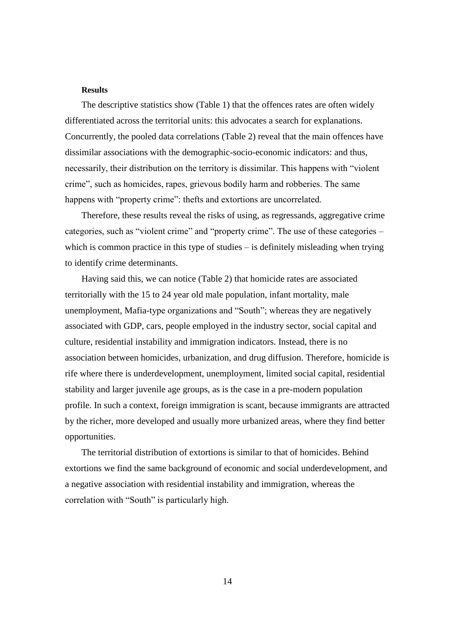#### **Results**

The descriptive statistics show (Table 1) that the offences rates are often widely differentiated across the territorial units: this advocates a search for explanations. Concurrently, the pooled data correlations (Table 2) reveal that the main offences have dissimilar associations with the demographic-socio-economic indicators: and thus, necessarily, their distribution on the territory is dissimilar. This happens with "violent crime", such as homicides, rapes, grievous bodily harm and robberies. The same happens with "property crime": thefts and extortions are uncorrelated.

Therefore, these results reveal the risks of using, as regressands, aggregative crime categories, such as "violent crime" and "property crime". The use of these categories – which is common practice in this type of studies – is definitely misleading when trying to identify crime determinants.

Having said this, we can notice (Table 2) that homicide rates are associated territorially with the 15 to 24 year old male population, infant mortality, male unemployment, Mafia-type organizations and "South"; whereas they are negatively associated with GDP, cars, people employed in the industry sector, social capital and culture, residential instability and immigration indicators. Instead, there is no association between homicides, urbanization, and drug diffusion. Therefore, homicide is rife where there is underdevelopment, unemployment, limited social capital, residential stability and larger juvenile age groups, as is the case in a pre-modern population profile. In such a context, foreign immigration is scant, because immigrants are attracted by the richer, more developed and usually more urbanized areas, where they find better opportunities.

The territorial distribution of extortions is similar to that of homicides. Behind extortions we find the same background of economic and social underdevelopment, and a negative association with residential instability and immigration, whereas the correlation with "South" is particularly high.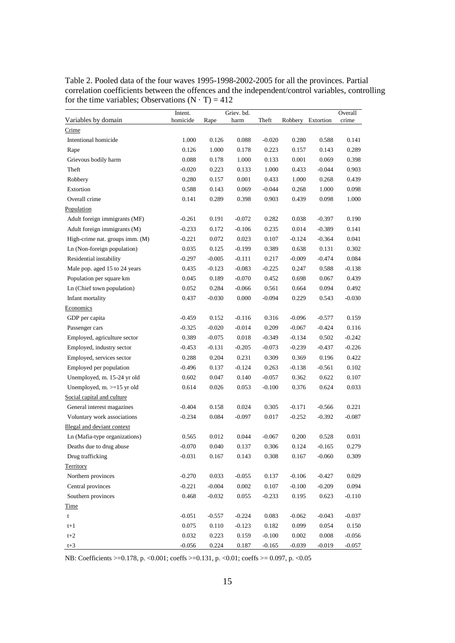Table 2. Pooled data of the four waves 1995-1998-2002-2005 for all the provinces. Partial correlation coefficients between the offences and the independent/control variables, controlling for the time variables; Observations  $(N \cdot T) = 412$ 

|                                 | Intent.  |          | Griev. bd. |           |          |           | Overall  |
|---------------------------------|----------|----------|------------|-----------|----------|-----------|----------|
| Variables by domain             | homicide | Rape     | harm       | Theft     | Robbery  | Extortion | crime    |
| Crime                           |          |          |            |           |          |           |          |
| Intentional homicide            | 1.000    | 0.126    | 0.088      | $-0.020$  | 0.280    | 0.588     | 0.141    |
| Rape                            | 0.126    | 1.000    | 0.178      | 0.223     | 0.157    | 0.143     | 0.289    |
| Grievous bodily harm            | 0.088    | 0.178    | 1.000      | 0.133     | 0.001    | 0.069     | 0.398    |
| Theft                           | $-0.020$ | 0.223    | 0.133      | 1.000     | 0.433    | $-0.044$  | 0.903    |
| Robbery                         | 0.280    | 0.157    | 0.001      | 0.433     | 1.000    | 0.268     | 0.439    |
| Extortion                       | 0.588    | 0.143    | 0.069      | $-0.044$  | 0.268    | 1.000     | 0.098    |
| Overall crime                   | 0.141    | 0.289    | 0.398      | 0.903     | 0.439    | 0.098     | 1.000    |
| Population                      |          |          |            |           |          |           |          |
| Adult foreign immigrants (MF)   | $-0.261$ | 0.191    | $-0.072$   | 0.282     | 0.038    | $-0.397$  | 0.190    |
| Adult foreign immigrants (M)    | $-0.233$ | 0.172    | $-0.106$   | 0.235     | 0.014    | $-0.389$  | 0.141    |
| High-crime nat. groups imm. (M) | $-0.221$ | 0.072    | 0.023      | 0.107     | $-0.124$ | $-0.364$  | 0.041    |
| Ln (Non-foreign population)     | 0.035    | 0.125    | $-0.199$   | 0.389     | 0.638    | 0.131     | 0.302    |
| Residential instability         | $-0.297$ | $-0.005$ | $-0.111$   | 0.217     | $-0.009$ | $-0.474$  | 0.084    |
| Male pop. aged 15 to 24 years   | 0.435    | $-0.123$ | $-0.083$   | $-0.225$  | 0.247    | 0.588     | $-0.138$ |
| Population per square km        | 0.045    | 0.189    | $-0.070$   | 0.452     | 0.698    | 0.067     | 0.439    |
| Ln (Chief town population)      | 0.052    | 0.284    | $-0.066$   | 0.561     | 0.664    | 0.094     | 0.492    |
| Infant mortality                | 0.437    | $-0.030$ | 0.000      | $-0.094$  | 0.229    | 0.543     | $-0.030$ |
| Economics                       |          |          |            |           |          |           |          |
| GDP per capita                  | $-0.459$ | 0.152    | $-0.116$   | 0.316     | $-0.096$ | $-0.577$  | 0.159    |
| Passenger cars                  | $-0.325$ | $-0.020$ | $-0.014$   | 0.209     | $-0.067$ | $-0.424$  | 0.116    |
| Employed, agriculture sector    | 0.389    | $-0.075$ | 0.018      | $-0.349$  | $-0.134$ | 0.502     | $-0.242$ |
| Employed, industry sector       | $-0.453$ | $-0.131$ | $-0.205$   | $-0.073$  | $-0.239$ | $-0.437$  | $-0.226$ |
| Employed, services sector       | 0.288    | 0.204    | 0.231      | 0.309     | 0.369    | 0.196     | 0.422    |
| Employed per population         | $-0.496$ | 0.137    | $-0.124$   | 0.263     | $-0.138$ | $-0.561$  | 0.102    |
| Unemployed, m. 15-24 yr old     | 0.602    | 0.047    | 0.140      | $-0.057$  | 0.362    | 0.622     | 0.107    |
| Unemployed, $m. > = 15$ yr old  | 0.614    | 0.026    | 0.053      | $-0.100$  | 0.376    | 0.624     | 0.033    |
| Social capital and culture      |          |          |            |           |          |           |          |
| General interest magazines      | $-0.404$ | 0.158    | 0.024      | 0.305     | $-0.171$ | $-0.566$  | 0.221    |
| Voluntary work associations     | $-0.234$ | 0.084    | $-0.097$   | 0.017     | $-0.252$ | $-0.392$  | $-0.087$ |
| Illegal and deviant context     |          |          |            |           |          |           |          |
| Ln (Mafia-type organizations)   | 0.565    | 0.012    | 0.044      | $-0.067$  | 0.200    | 0.528     | 0.031    |
| Deaths due to drug abuse        | $-0.070$ | 0.040    | 0.137      | 0.306     | 0.124    | $-0.165$  | 0.279    |
| Drug trafficking                | $-0.031$ | 0.167    | 0.143      | 0.308     | 0.167    | $-0.060$  | 0.309    |
| Territory                       |          |          |            |           |          |           |          |
| Northern provinces              | $-0.270$ | 0.033    | $-0.055$   | 0.137     | $-0.106$ | $-0.427$  | 0.029    |
| Central provinces               | $-0.221$ | $-0.004$ | $0.002\,$  | $0.107\,$ | $-0.100$ | $-0.209$  | 0.094    |
| Southern provinces              | 0.468    | $-0.032$ | 0.055      | $-0.233$  | 0.195    | 0.623     | $-0.110$ |
| Time                            |          |          |            |           |          |           |          |
| $\mathsf t$                     | $-0.051$ | $-0.557$ | $-0.224$   | 0.083     | $-0.062$ | $-0.043$  | $-0.037$ |
| $t+1$                           | 0.075    | 0.110    | $-0.123$   | 0.182     | 0.099    | 0.054     | 0.150    |
| $t+2$                           | 0.032    | 0.223    | 0.159      | $-0.100$  | 0.002    | $0.008\,$ | $-0.056$ |
| $t+3$                           | $-0.056$ | 0.224    | 0.187      | $-0.165$  | $-0.039$ | $-0.019$  | $-0.057$ |

NB: Coefficients >=0.178, p. <0.001; coeffs >=0.131, p. <0.01; coeffs >= 0.097, p. <0.05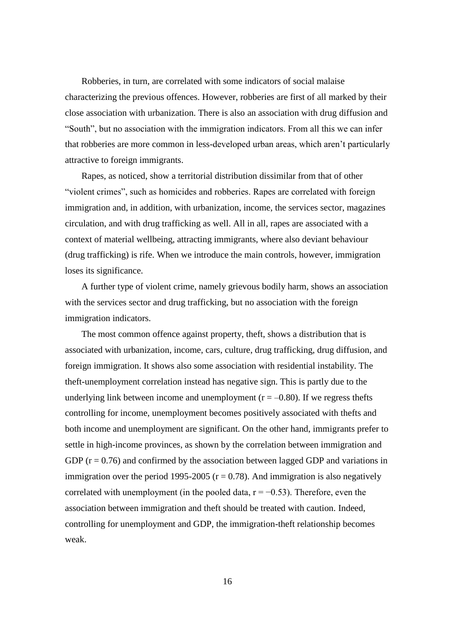Robberies, in turn, are correlated with some indicators of social malaise characterizing the previous offences. However, robberies are first of all marked by their close association with urbanization. There is also an association with drug diffusion and "South", but no association with the immigration indicators. From all this we can infer that robberies are more common in less-developed urban areas, which aren't particularly attractive to foreign immigrants.

Rapes, as noticed, show a territorial distribution dissimilar from that of other "violent crimes", such as homicides and robberies. Rapes are correlated with foreign immigration and, in addition, with urbanization, income, the services sector, magazines circulation, and with drug trafficking as well. All in all, rapes are associated with a context of material wellbeing, attracting immigrants, where also deviant behaviour (drug trafficking) is rife. When we introduce the main controls, however, immigration loses its significance.

A further type of violent crime, namely grievous bodily harm, shows an association with the services sector and drug trafficking, but no association with the foreign immigration indicators.

The most common offence against property, theft, shows a distribution that is associated with urbanization, income, cars, culture, drug trafficking, drug diffusion, and foreign immigration. It shows also some association with residential instability. The theft-unemployment correlation instead has negative sign. This is partly due to the underlying link between income and unemployment ( $r = -0.80$ ). If we regress thefts controlling for income, unemployment becomes positively associated with thefts and both income and unemployment are significant. On the other hand, immigrants prefer to settle in high-income provinces, as shown by the correlation between immigration and GDP  $(r = 0.76)$  and confirmed by the association between lagged GDP and variations in immigration over the period 1995-2005 ( $r = 0.78$ ). And immigration is also negatively correlated with unemployment (in the pooled data,  $r = -0.53$ ). Therefore, even the association between immigration and theft should be treated with caution. Indeed, controlling for unemployment and GDP, the immigration-theft relationship becomes weak.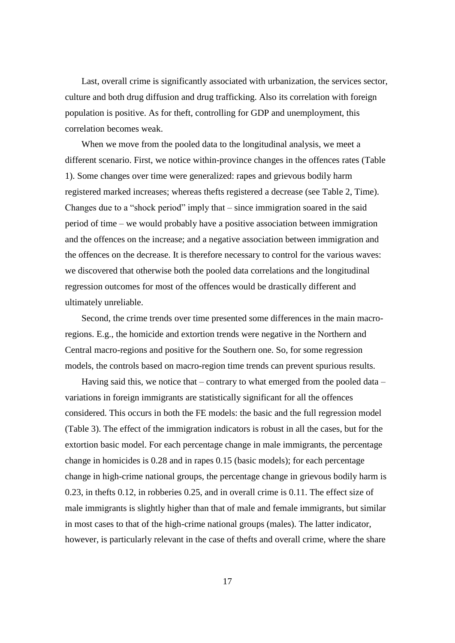Last, overall crime is significantly associated with urbanization, the services sector, culture and both drug diffusion and drug trafficking. Also its correlation with foreign population is positive. As for theft, controlling for GDP and unemployment, this correlation becomes weak.

When we move from the pooled data to the longitudinal analysis, we meet a different scenario. First, we notice within-province changes in the offences rates (Table 1). Some changes over time were generalized: rapes and grievous bodily harm registered marked increases; whereas thefts registered a decrease (see Table 2, Time). Changes due to a "shock period" imply that – since immigration soared in the said period of time – we would probably have a positive association between immigration and the offences on the increase; and a negative association between immigration and the offences on the decrease. It is therefore necessary to control for the various waves: we discovered that otherwise both the pooled data correlations and the longitudinal regression outcomes for most of the offences would be drastically different and ultimately unreliable.

Second, the crime trends over time presented some differences in the main macroregions. E.g., the homicide and extortion trends were negative in the Northern and Central macro-regions and positive for the Southern one. So, for some regression models, the controls based on macro-region time trends can prevent spurious results.

Having said this, we notice that – contrary to what emerged from the pooled data – variations in foreign immigrants are statistically significant for all the offences considered. This occurs in both the FE models: the basic and the full regression model (Table 3). The effect of the immigration indicators is robust in all the cases, but for the extortion basic model. For each percentage change in male immigrants, the percentage change in homicides is 0.28 and in rapes 0.15 (basic models); for each percentage change in high-crime national groups, the percentage change in grievous bodily harm is 0.23, in thefts 0.12, in robberies 0.25, and in overall crime is 0.11. The effect size of male immigrants is slightly higher than that of male and female immigrants, but similar in most cases to that of the high-crime national groups (males). The latter indicator, however, is particularly relevant in the case of thefts and overall crime, where the share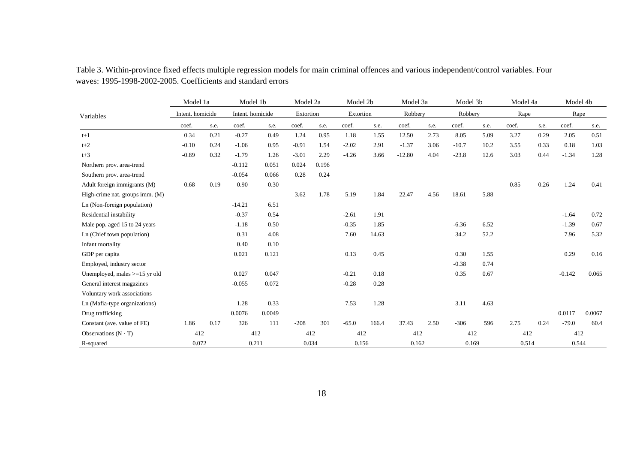|                                 | Model 1a         |      | Model 1b         |        | Model 2a  |       | Model 2b  |       | Model 3a |      | Model 3b |      | Model 4a |      | Model 4b |        |
|---------------------------------|------------------|------|------------------|--------|-----------|-------|-----------|-------|----------|------|----------|------|----------|------|----------|--------|
| Variables                       | Intent. homicide |      | Intent. homicide |        | Extortion |       | Extortion |       | Robbery  |      | Robbery  |      | Rape     |      | Rape     |        |
|                                 | coef.            | s.e. | coef.            | s.e.   | coef.     | s.e.  | coef.     | s.e.  | coef.    | s.e. | coef.    | s.e. | coef.    | s.e. | coef.    | s.e.   |
| $t+1$                           | 0.34             | 0.21 | $-0.27$          | 0.49   | 1.24      | 0.95  | 1.18      | 1.55  | 12.50    | 2.73 | 8.05     | 5.09 | 3.27     | 0.29 | 2.05     | 0.51   |
| $t+2$                           | $-0.10$          | 0.24 | $-1.06$          | 0.95   | $-0.91$   | 1.54  | $-2.02$   | 2.91  | $-1.37$  | 3.06 | $-10.7$  | 10.2 | 3.55     | 0.33 | 0.18     | 1.03   |
| $t+3$                           | $-0.89$          | 0.32 | $-1.79$          | 1.26   | $-3.01$   | 2.29  | $-4.26$   | 3.66  | $-12.80$ | 4.04 | $-23.8$  | 12.6 | 3.03     | 0.44 | $-1.34$  | 1.28   |
| Northern prov. area-trend       |                  |      | $-0.112$         | 0.051  | 0.024     | 0.196 |           |       |          |      |          |      |          |      |          |        |
| Southern prov. area-trend       |                  |      | $-0.054$         | 0.066  | 0.28      | 0.24  |           |       |          |      |          |      |          |      |          |        |
| Adult foreign immigrants (M)    | 0.68             | 0.19 | 0.90             | 0.30   |           |       |           |       |          |      |          |      | 0.85     | 0.26 | 1.24     | 0.41   |
| High-crime nat. groups imm. (M) |                  |      |                  |        | 3.62      | 1.78  | 5.19      | 1.84  | 22.47    | 4.56 | 18.61    | 5.88 |          |      |          |        |
| Ln (Non-foreign population)     |                  |      | $-14.21$         | 6.51   |           |       |           |       |          |      |          |      |          |      |          |        |
| Residential instability         |                  |      | $-0.37$          | 0.54   |           |       | $-2.61$   | 1.91  |          |      |          |      |          |      | $-1.64$  | 0.72   |
| Male pop. aged 15 to 24 years   |                  |      | $-1.18$          | 0.50   |           |       | $-0.35$   | 1.85  |          |      | $-6.36$  | 6.52 |          |      | $-1.39$  | 0.67   |
| Ln (Chief town population)      |                  |      | 0.31             | 4.08   |           |       | 7.60      | 14.63 |          |      | 34.2     | 52.2 |          |      | 7.96     | 5.32   |
| Infant mortality                |                  |      | 0.40             | 0.10   |           |       |           |       |          |      |          |      |          |      |          |        |
| GDP per capita                  |                  |      | 0.021            | 0.121  |           |       | 0.13      | 0.45  |          |      | 0.30     | 1.55 |          |      | 0.29     | 0.16   |
| Employed, industry sector       |                  |      |                  |        |           |       |           |       |          |      | $-0.38$  | 0.74 |          |      |          |        |
| Unemployed, males >=15 yr old   |                  |      | 0.027            | 0.047  |           |       | $-0.21$   | 0.18  |          |      | 0.35     | 0.67 |          |      | $-0.142$ | 0.065  |
| General interest magazines      |                  |      | $-0.055$         | 0.072  |           |       | $-0.28$   | 0.28  |          |      |          |      |          |      |          |        |
| Voluntary work associations     |                  |      |                  |        |           |       |           |       |          |      |          |      |          |      |          |        |
| Ln (Mafia-type organizations)   |                  |      | 1.28             | 0.33   |           |       | 7.53      | 1.28  |          |      | 3.11     | 4.63 |          |      |          |        |
| Drug trafficking                |                  |      | 0.0076           | 0.0049 |           |       |           |       |          |      |          |      |          |      | 0.0117   | 0.0067 |
| Constant (ave. value of FE)     | 1.86             | 0.17 | 326              | 111    | $-208$    | 301   | $-65.0$   | 166.4 | 37.43    | 2.50 | $-306$   | 596  | 2.75     | 0.24 | $-79.0$  | 60.4   |
| Observations $(N \cdot T)$      | 412              |      |                  | 412    | 412       |       | 412       |       | 412      |      | 412      |      | 412      |      | 412      |        |
| R-squared                       | 0.072            |      |                  | 0.211  | 0.034     |       | 0.156     |       | 0.162    |      | 0.169    |      | 0.514    |      | 0.544    |        |

Table 3. Within-province fixed effects multiple regression models for main criminal offences and various independent/control variables. Four waves: 1995-1998-2002-2005. Coefficients and standard errors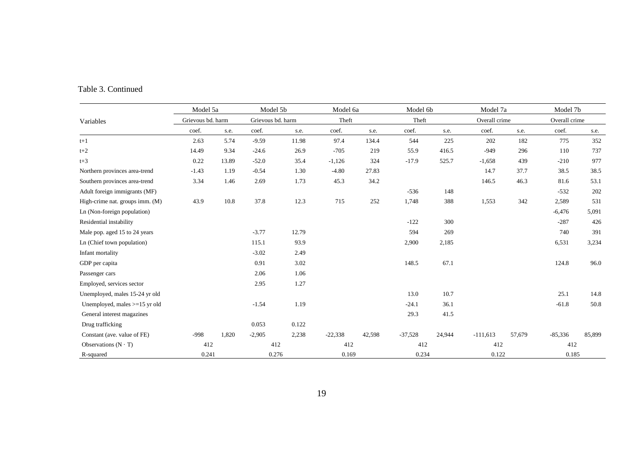|                                 | Model 5a          |       | Model 5b          |       | Model 6a  |        | Model 6b  |        | Model 7a      |        | Model 7b      |        |
|---------------------------------|-------------------|-------|-------------------|-------|-----------|--------|-----------|--------|---------------|--------|---------------|--------|
| Variables                       | Grievous bd. harm |       | Grievous bd. harm |       | Theft     |        | Theft     |        | Overall crime |        | Overall crime |        |
|                                 | coef.             | s.e.  | coef.             | s.e.  | coef.     | s.e.   | coef.     | s.e.   | coef.         | s.e.   | coef.         | s.e.   |
| $t+1$                           | 2.63              | 5.74  | $-9.59$           | 11.98 | 97.4      | 134.4  | 544       | 225    | 202           | 182    | 775           | 352    |
| $t+2$                           | 14.49             | 9.34  | $-24.6$           | 26.9  | $-705$    | 219    | 55.9      | 416.5  | $-949$        | 296    | 110           | 737    |
| $t+3$                           | 0.22              | 13.89 | $-52.0$           | 35.4  | $-1,126$  | 324    | $-17.9$   | 525.7  | $-1,658$      | 439    | $-210$        | 977    |
| Northern provinces area-trend   | $-1.43$           | 1.19  | $-0.54$           | 1.30  | $-4.80$   | 27.83  |           |        | 14.7          | 37.7   | 38.5          | 38.5   |
| Southern provinces area-trend   | 3.34              | 1.46  | 2.69              | 1.73  | 45.3      | 34.2   |           |        | 146.5         | 46.3   | 81.6          | 53.1   |
| Adult foreign immigrants (MF)   |                   |       |                   |       |           |        | $-536$    | 148    |               |        | $-532$        | 202    |
| High-crime nat. groups imm. (M) | 43.9              | 10.8  | 37.8              | 12.3  | 715       | 252    | 1,748     | 388    | 1,553         | 342    | 2,589         | 531    |
| Ln (Non-foreign population)     |                   |       |                   |       |           |        |           |        |               |        | $-6,476$      | 5,091  |
| Residential instability         |                   |       |                   |       |           |        | $-122$    | 300    |               |        | $-287$        | 426    |
| Male pop. aged 15 to 24 years   |                   |       | $-3.77$           | 12.79 |           |        | 594       | 269    |               |        | 740           | 391    |
| Ln (Chief town population)      |                   |       | 115.1             | 93.9  |           |        | 2,900     | 2,185  |               |        | 6,531         | 3,234  |
| Infant mortality                |                   |       | $-3.02$           | 2.49  |           |        |           |        |               |        |               |        |
| GDP per capita                  |                   |       | 0.91              | 3.02  |           |        | 148.5     | 67.1   |               |        | 124.8         | 96.0   |
| Passenger cars                  |                   |       | 2.06              | 1.06  |           |        |           |        |               |        |               |        |
| Employed, services sector       |                   |       | 2.95              | 1.27  |           |        |           |        |               |        |               |        |
| Unemployed, males 15-24 yr old  |                   |       |                   |       |           |        | 13.0      | 10.7   |               |        | 25.1          | 14.8   |
| Unemployed, males $>=15$ yr old |                   |       | $-1.54$           | 1.19  |           |        | $-24.1$   | 36.1   |               |        | $-61.8$       | 50.8   |
| General interest magazines      |                   |       |                   |       |           |        | 29.3      | 41.5   |               |        |               |        |
| Drug trafficking                |                   |       | 0.053             | 0.122 |           |        |           |        |               |        |               |        |
| Constant (ave. value of FE)     | $-998$            | 1,820 | $-2,905$          | 2,238 | $-22,338$ | 42,598 | $-37,528$ | 24,944 | $-111,613$    | 57,679 | $-85,336$     | 85,899 |
| Observations $(N \cdot T)$      | 412               |       | 412               |       | 412       |        |           | 412    |               | 412    |               | 412    |
| R-squared                       | 0.241             |       | 0.276             |       | 0.169     |        | 0.234     |        | 0.122         |        | 0.185         |        |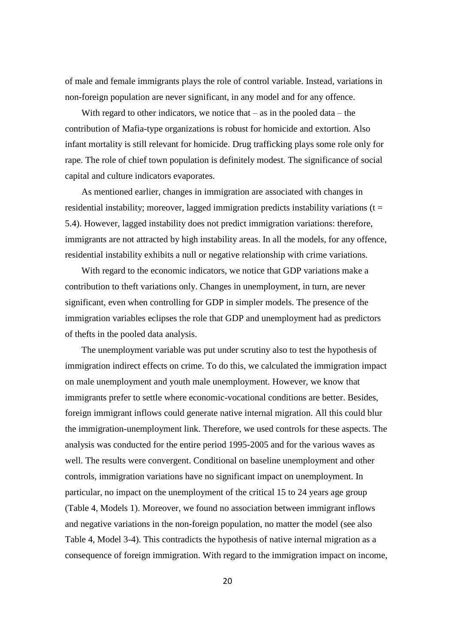of male and female immigrants plays the role of control variable. Instead, variations in non-foreign population are never significant, in any model and for any offence.

With regard to other indicators, we notice that  $-$  as in the pooled data  $-$  the contribution of Mafia-type organizations is robust for homicide and extortion. Also infant mortality is still relevant for homicide. Drug trafficking plays some role only for rape. The role of chief town population is definitely modest. The significance of social capital and culture indicators evaporates.

As mentioned earlier, changes in immigration are associated with changes in residential instability; moreover, lagged immigration predicts instability variations ( $t =$ 5.4). However, lagged instability does not predict immigration variations: therefore, immigrants are not attracted by high instability areas. In all the models, for any offence, residential instability exhibits a null or negative relationship with crime variations.

With regard to the economic indicators, we notice that GDP variations make a contribution to theft variations only. Changes in unemployment, in turn, are never significant, even when controlling for GDP in simpler models. The presence of the immigration variables eclipses the role that GDP and unemployment had as predictors of thefts in the pooled data analysis.

The unemployment variable was put under scrutiny also to test the hypothesis of immigration indirect effects on crime. To do this, we calculated the immigration impact on male unemployment and youth male unemployment. However, we know that immigrants prefer to settle where economic-vocational conditions are better. Besides, foreign immigrant inflows could generate native internal migration. All this could blur the immigration-unemployment link. Therefore, we used controls for these aspects. The analysis was conducted for the entire period 1995-2005 and for the various waves as well. The results were convergent. Conditional on baseline unemployment and other controls, immigration variations have no significant impact on unemployment. In particular, no impact on the unemployment of the critical 15 to 24 years age group (Table 4, Models 1). Moreover, we found no association between immigrant inflows and negative variations in the non-foreign population, no matter the model (see also Table 4, Model 3-4). This contradicts the hypothesis of native internal migration as a consequence of foreign immigration. With regard to the immigration impact on income,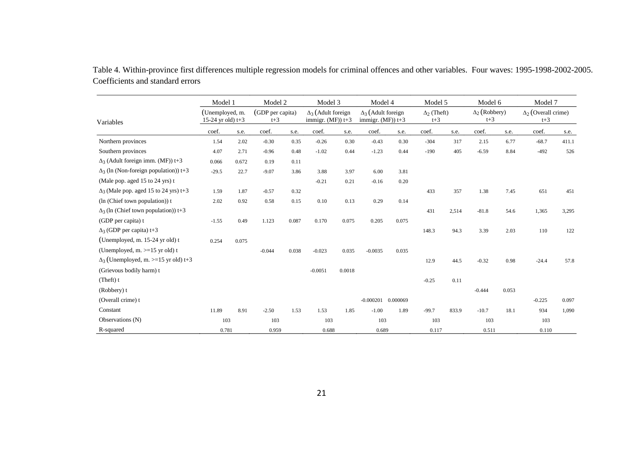|                                              | Model 1                                |       | Model 2                   |       | Model 3                                           |        | Model 4                                           |          | Model 5                     |       | Model 6                       |       | Model 7                             |       |
|----------------------------------------------|----------------------------------------|-------|---------------------------|-------|---------------------------------------------------|--------|---------------------------------------------------|----------|-----------------------------|-------|-------------------------------|-------|-------------------------------------|-------|
| Variables                                    | (Unemployed, m.<br>15-24 yr old) $t+3$ |       | (GDP per capita)<br>$t+3$ |       | $\Delta_3$ (Adult foreign<br>immigr. $(MF)$ ) t+3 |        | $\Delta_3$ (Adult foreign<br>immigr. $(MF)$ ) t+3 |          | $\Delta_2$ (Theft)<br>$t+3$ |       | $\Delta_2$ (Robbery)<br>$t+3$ |       | $\Delta_2$ (Overall crime)<br>$t+3$ |       |
|                                              | coef.                                  | s.e.  | coef.                     | s.e.  | coef.                                             | s.e.   | coef.                                             | s.e.     | coef.                       | s.e.  | coef.                         | s.e.  | coef.                               | s.e.  |
| Northern provinces                           | 1.54                                   | 2.02  | $-0.30$                   | 0.35  | $-0.26$                                           | 0.30   | $-0.43$                                           | 0.30     | $-304$                      | 317   | 2.15                          | 6.77  | $-68.7$                             | 411.1 |
| Southern provinces                           | 4.07                                   | 2.71  | $-0.96$                   | 0.48  | $-1.02$                                           | 0.44   | $-1.23$                                           | 0.44     | $-190$                      | 405   | $-6.59$                       | 8.84  | $-492$                              | 526   |
| $\Delta_3$ (Adult foreign imm. (MF)) t+3     | 0.066                                  | 0.672 | 0.19                      | 0.11  |                                                   |        |                                                   |          |                             |       |                               |       |                                     |       |
| $\Delta_3$ (ln (Non-foreign population)) t+3 | $-29.5$                                | 22.7  | $-9.07$                   | 3.86  | 3.88                                              | 3.97   | 6.00                                              | 3.81     |                             |       |                               |       |                                     |       |
| (Male pop. aged 15 to 24 yrs) t              |                                        |       |                           |       | $-0.21$                                           | 0.21   | $-0.16$                                           | 0.20     |                             |       |                               |       |                                     |       |
| $\Delta_3$ (Male pop. aged 15 to 24 yrs) t+3 | 1.59                                   | 1.87  | $-0.57$                   | 0.32  |                                                   |        |                                                   |          | 433                         | 357   | 1.38                          | 7.45  | 651                                 | 451   |
| (ln (Chief town population)) t               | 2.02                                   | 0.92  | 0.58                      | 0.15  | 0.10                                              | 0.13   | 0.29                                              | 0.14     |                             |       |                               |       |                                     |       |
| $\Delta_3$ (ln (Chief town population)) t+3  |                                        |       |                           |       |                                                   |        |                                                   |          | 431                         | 2,514 | $-81.8$                       | 54.6  | 1,365                               | 3,295 |
| (GDP per capita) t                           | $-1.55$                                | 0.49  | 1.123                     | 0.087 | 0.170                                             | 0.075  | 0.205                                             | 0.075    |                             |       |                               |       |                                     |       |
| $\Delta_3$ (GDP per capita) t+3              |                                        |       |                           |       |                                                   |        |                                                   |          | 148.3                       | 94.3  | 3.39                          | 2.03  | 110                                 | 122   |
| (Unemployed, m. 15-24 yr old) t              | 0.254                                  | 0.075 |                           |       |                                                   |        |                                                   |          |                             |       |                               |       |                                     |       |
| (Unemployed, $m. > = 15$ yr old) t           |                                        |       | $-0.044$                  | 0.038 | $-0.023$                                          | 0.035  | $-0.0035$                                         | 0.035    |                             |       |                               |       |                                     |       |
| $\Delta_3$ (Unemployed, m. >=15 yr old) t+3  |                                        |       |                           |       |                                                   |        |                                                   |          | 12.9                        | 44.5  | $-0.32$                       | 0.98  | $-24.4$                             | 57.8  |
| (Grievous bodily harm) t                     |                                        |       |                           |       | $-0.0051$                                         | 0.0018 |                                                   |          |                             |       |                               |       |                                     |       |
| $(The fit)$ t                                |                                        |       |                           |       |                                                   |        |                                                   |          | $-0.25$                     | 0.11  |                               |       |                                     |       |
| (Robbery) t                                  |                                        |       |                           |       |                                                   |        |                                                   |          |                             |       | $-0.444$                      | 0.053 |                                     |       |
| (Overall crime) t                            |                                        |       |                           |       |                                                   |        | $-0.000201$                                       | 0.000069 |                             |       |                               |       | $-0.225$                            | 0.097 |
| Constant                                     | 11.89                                  | 8.91  | $-2.50$                   | 1.53  | 1.53                                              | 1.85   | $-1.00$                                           | 1.89     | $-99.7$                     | 833.9 | $-10.7$                       | 18.1  | 934                                 | 1,090 |
| Observations (N)                             | 103                                    |       | 103                       |       | 103                                               |        | 103                                               |          | 103                         |       | 103                           |       | 103                                 |       |
| R-squared                                    | 0.781                                  |       | 0.959                     |       | 0.688                                             |        | 0.689                                             |          | 0.117                       |       | 0.511                         |       | 0.110                               |       |

Table 4. Within-province first differences multiple regression models for criminal offences and other variables. Four waves: 1995-1998-2002-2005. Coefficients and standard errors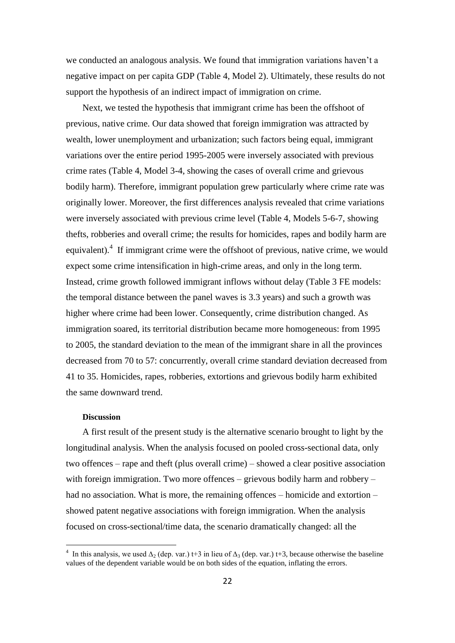we conducted an analogous analysis. We found that immigration variations haven't a negative impact on per capita GDP (Table 4, Model 2). Ultimately, these results do not support the hypothesis of an indirect impact of immigration on crime.

Next, we tested the hypothesis that immigrant crime has been the offshoot of previous, native crime. Our data showed that foreign immigration was attracted by wealth, lower unemployment and urbanization; such factors being equal, immigrant variations over the entire period 1995-2005 were inversely associated with previous crime rates (Table 4, Model 3-4, showing the cases of overall crime and grievous bodily harm). Therefore, immigrant population grew particularly where crime rate was originally lower. Moreover, the first differences analysis revealed that crime variations were inversely associated with previous crime level (Table 4, Models 5-6-7, showing thefts, robberies and overall crime; the results for homicides, rapes and bodily harm are equivalent).<sup>4</sup> If immigrant crime were the offshoot of previous, native crime, we would expect some crime intensification in high-crime areas, and only in the long term. Instead, crime growth followed immigrant inflows without delay (Table 3 FE models: the temporal distance between the panel waves is 3.3 years) and such a growth was higher where crime had been lower. Consequently, crime distribution changed. As immigration soared, its territorial distribution became more homogeneous: from 1995 to 2005, the standard deviation to the mean of the immigrant share in all the provinces decreased from 70 to 57: concurrently, overall crime standard deviation decreased from 41 to 35. Homicides, rapes, robberies, extortions and grievous bodily harm exhibited the same downward trend.

#### **Discussion**

 $\overline{\phantom{a}}$ 

A first result of the present study is the alternative scenario brought to light by the longitudinal analysis. When the analysis focused on pooled cross-sectional data, only two offences – rape and theft (plus overall crime) – showed a clear positive association with foreign immigration. Two more offences – grievous bodily harm and robbery – had no association. What is more, the remaining offences – homicide and extortion – showed patent negative associations with foreign immigration. When the analysis focused on cross-sectional/time data, the scenario dramatically changed: all the

<sup>&</sup>lt;sup>4</sup> In this analysis, we used  $\Delta_2$  (dep. var.) t+3 in lieu of  $\Delta_3$  (dep. var.) t+3, because otherwise the baseline values of the dependent variable would be on both sides of the equation, inflating the errors.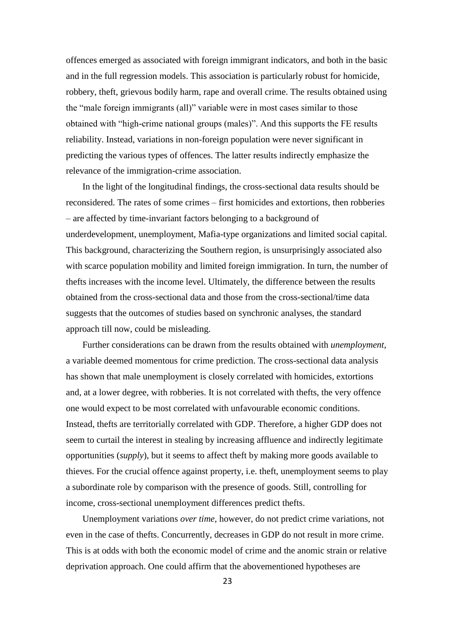offences emerged as associated with foreign immigrant indicators, and both in the basic and in the full regression models. This association is particularly robust for homicide, robbery, theft, grievous bodily harm, rape and overall crime. The results obtained using the "male foreign immigrants (all)" variable were in most cases similar to those obtained with "high-crime national groups (males)". And this supports the FE results reliability. Instead, variations in non-foreign population were never significant in predicting the various types of offences. The latter results indirectly emphasize the relevance of the immigration-crime association.

In the light of the longitudinal findings, the cross-sectional data results should be reconsidered. The rates of some crimes – first homicides and extortions, then robberies – are affected by time-invariant factors belonging to a background of underdevelopment, unemployment, Mafia-type organizations and limited social capital. This background, characterizing the Southern region, is unsurprisingly associated also with scarce population mobility and limited foreign immigration. In turn, the number of thefts increases with the income level. Ultimately, the difference between the results obtained from the cross-sectional data and those from the cross-sectional/time data suggests that the outcomes of studies based on synchronic analyses, the standard approach till now, could be misleading.

Further considerations can be drawn from the results obtained with *unemployment*, a variable deemed momentous for crime prediction. The cross-sectional data analysis has shown that male unemployment is closely correlated with homicides, extortions and, at a lower degree, with robberies. It is not correlated with thefts, the very offence one would expect to be most correlated with unfavourable economic conditions. Instead, thefts are territorially correlated with GDP. Therefore, a higher GDP does not seem to curtail the interest in stealing by increasing affluence and indirectly legitimate opportunities (*supply*), but it seems to affect theft by making more goods available to thieves. For the crucial offence against property, i.e. theft, unemployment seems to play a subordinate role by comparison with the presence of goods. Still, controlling for income, cross-sectional unemployment differences predict thefts.

Unemployment variations *over time*, however, do not predict crime variations, not even in the case of thefts. Concurrently, decreases in GDP do not result in more crime. This is at odds with both the economic model of crime and the anomic strain or relative deprivation approach. One could affirm that the abovementioned hypotheses are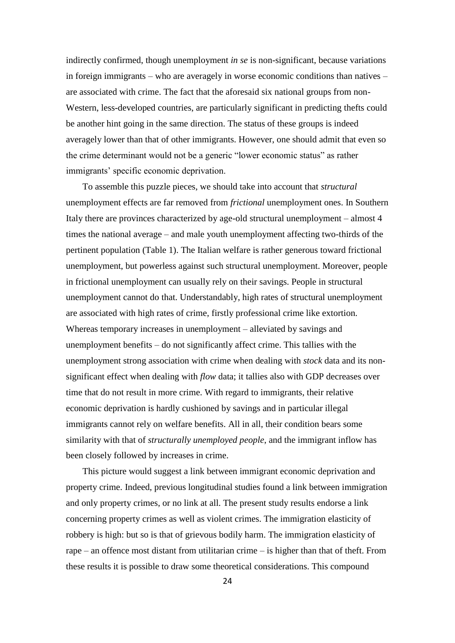indirectly confirmed, though unemployment *in se* is non-significant, because variations in foreign immigrants – who are averagely in worse economic conditions than natives – are associated with crime. The fact that the aforesaid six national groups from non-Western, less-developed countries, are particularly significant in predicting thefts could be another hint going in the same direction. The status of these groups is indeed averagely lower than that of other immigrants. However, one should admit that even so the crime determinant would not be a generic "lower economic status" as rather immigrants' specific economic deprivation.

To assemble this puzzle pieces, we should take into account that *structural* unemployment effects are far removed from *frictional* unemployment ones. In Southern Italy there are provinces characterized by age-old structural unemployment – almost 4 times the national average – and male youth unemployment affecting two-thirds of the pertinent population (Table 1). The Italian welfare is rather generous toward frictional unemployment, but powerless against such structural unemployment. Moreover, people in frictional unemployment can usually rely on their savings. People in structural unemployment cannot do that. Understandably, high rates of structural unemployment are associated with high rates of crime, firstly professional crime like extortion. Whereas temporary increases in unemployment – alleviated by savings and unemployment benefits – do not significantly affect crime. This tallies with the unemployment strong association with crime when dealing with *stock* data and its nonsignificant effect when dealing with *flow* data; it tallies also with GDP decreases over time that do not result in more crime. With regard to immigrants, their relative economic deprivation is hardly cushioned by savings and in particular illegal immigrants cannot rely on welfare benefits. All in all, their condition bears some similarity with that of *structurally unemployed people*, and the immigrant inflow has been closely followed by increases in crime.

This picture would suggest a link between immigrant economic deprivation and property crime. Indeed, previous longitudinal studies found a link between immigration and only property crimes, or no link at all. The present study results endorse a link concerning property crimes as well as violent crimes. The immigration elasticity of robbery is high: but so is that of grievous bodily harm. The immigration elasticity of rape – an offence most distant from utilitarian crime – is higher than that of theft. From these results it is possible to draw some theoretical considerations. This compound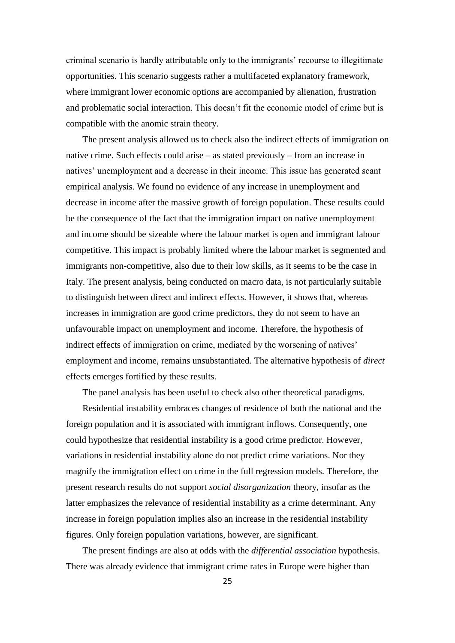criminal scenario is hardly attributable only to the immigrants' recourse to illegitimate opportunities. This scenario suggests rather a multifaceted explanatory framework, where immigrant lower economic options are accompanied by alienation, frustration and problematic social interaction. This doesn't fit the economic model of crime but is compatible with the anomic strain theory.

The present analysis allowed us to check also the indirect effects of immigration on native crime. Such effects could arise – as stated previously – from an increase in natives' unemployment and a decrease in their income. This issue has generated scant empirical analysis. We found no evidence of any increase in unemployment and decrease in income after the massive growth of foreign population. These results could be the consequence of the fact that the immigration impact on native unemployment and income should be sizeable where the labour market is open and immigrant labour competitive. This impact is probably limited where the labour market is segmented and immigrants non-competitive, also due to their low skills, as it seems to be the case in Italy. The present analysis, being conducted on macro data, is not particularly suitable to distinguish between direct and indirect effects. However, it shows that, whereas increases in immigration are good crime predictors, they do not seem to have an unfavourable impact on unemployment and income. Therefore, the hypothesis of indirect effects of immigration on crime, mediated by the worsening of natives' employment and income, remains unsubstantiated. The alternative hypothesis of *direct* effects emerges fortified by these results.

The panel analysis has been useful to check also other theoretical paradigms.

Residential instability embraces changes of residence of both the national and the foreign population and it is associated with immigrant inflows. Consequently, one could hypothesize that residential instability is a good crime predictor. However, variations in residential instability alone do not predict crime variations. Nor they magnify the immigration effect on crime in the full regression models. Therefore, the present research results do not support *social disorganization* theory, insofar as the latter emphasizes the relevance of residential instability as a crime determinant. Any increase in foreign population implies also an increase in the residential instability figures. Only foreign population variations, however, are significant.

The present findings are also at odds with the *differential association* hypothesis. There was already evidence that immigrant crime rates in Europe were higher than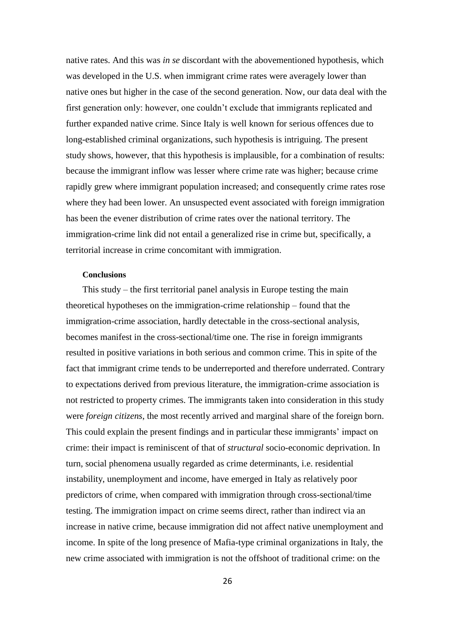native rates. And this was *in se* discordant with the abovementioned hypothesis, which was developed in the U.S. when immigrant crime rates were averagely lower than native ones but higher in the case of the second generation. Now, our data deal with the first generation only: however, one couldn't exclude that immigrants replicated and further expanded native crime. Since Italy is well known for serious offences due to long-established criminal organizations, such hypothesis is intriguing. The present study shows, however, that this hypothesis is implausible, for a combination of results: because the immigrant inflow was lesser where crime rate was higher; because crime rapidly grew where immigrant population increased; and consequently crime rates rose where they had been lower. An unsuspected event associated with foreign immigration has been the evener distribution of crime rates over the national territory. The immigration-crime link did not entail a generalized rise in crime but, specifically, a territorial increase in crime concomitant with immigration.

#### **Conclusions**

This study – the first territorial panel analysis in Europe testing the main theoretical hypotheses on the immigration-crime relationship – found that the immigration-crime association, hardly detectable in the cross-sectional analysis, becomes manifest in the cross-sectional/time one. The rise in foreign immigrants resulted in positive variations in both serious and common crime. This in spite of the fact that immigrant crime tends to be underreported and therefore underrated. Contrary to expectations derived from previous literature, the immigration-crime association is not restricted to property crimes. The immigrants taken into consideration in this study were *foreign citizens*, the most recently arrived and marginal share of the foreign born. This could explain the present findings and in particular these immigrants' impact on crime: their impact is reminiscent of that of *structural* socio-economic deprivation. In turn, social phenomena usually regarded as crime determinants, i.e. residential instability, unemployment and income, have emerged in Italy as relatively poor predictors of crime, when compared with immigration through cross-sectional/time testing. The immigration impact on crime seems direct, rather than indirect via an increase in native crime, because immigration did not affect native unemployment and income. In spite of the long presence of Mafia-type criminal organizations in Italy, the new crime associated with immigration is not the offshoot of traditional crime: on the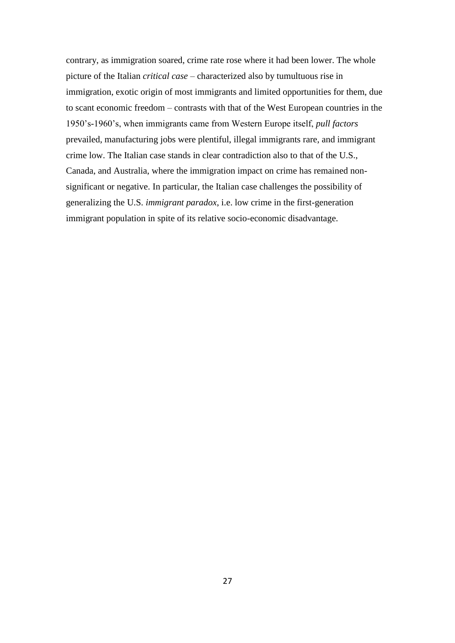contrary, as immigration soared, crime rate rose where it had been lower. The whole picture of the Italian *critical case* – characterized also by tumultuous rise in immigration, exotic origin of most immigrants and limited opportunities for them, due to scant economic freedom – contrasts with that of the West European countries in the 1950's-1960's, when immigrants came from Western Europe itself, *pull factors* prevailed, manufacturing jobs were plentiful, illegal immigrants rare, and immigrant crime low. The Italian case stands in clear contradiction also to that of the U.S., Canada, and Australia, where the immigration impact on crime has remained nonsignificant or negative. In particular, the Italian case challenges the possibility of generalizing the U.S. *immigrant paradox*, i.e. low crime in the first-generation immigrant population in spite of its relative socio-economic disadvantage.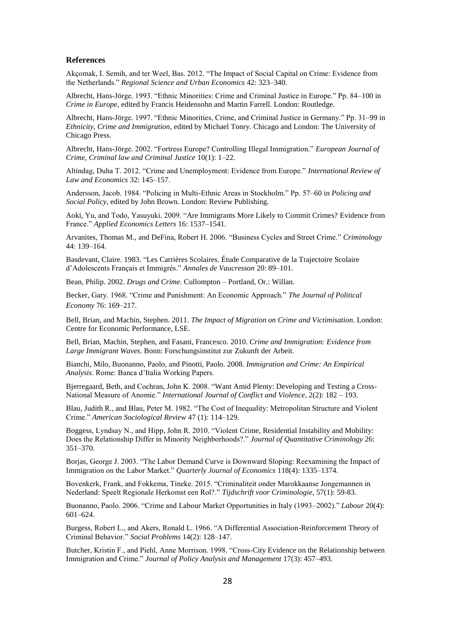#### **References**

Akçomak, I. Semih, and ter Weel, Bas. 2012. "The Impact of Social Capital on Crime: Evidence from the Netherlands." *Regional Science and Urban Economics* 42: 323–340.

Albrecht, Hans-Jörge. 1993. "Ethnic Minorities: Crime and Criminal Justice in Europe." Pp. 84–100 in *Crime in Europe*, edited by Francis Heidensohn and Martin Farrell. London: Routledge.

Albrecht, Hans-Jörge. 1997. "Ethnic Minorities, Crime, and Criminal Justice in Germany." Pp. 31–99 in *Ethnicity, Crime and Immigration*, edited by Michael Tonry. Chicago and London: The University of Chicago Press.

Albrecht, Hans-Jörge. 2002. "Fortress Europe? Controlling Illegal Immigration." *European Journal of Crime, Criminal law and Criminal Justice* 10(1): 1–22.

Altindag, Duha T. 2012. "Crime and Unemployment: Evidence from Europe." *International Review of Law and Economics* 32: 145–157.

Andersson, Jacob. 1984. "Policing in Multi-Ethnic Areas in Stockholm." Pp. 57–60 in *Policing and Social Policy*, edited by John Brown. London: Review Publishing.

Aoki, Yu, and Todo, Yasuyuki. 2009. "Are Immigrants More Likely to Commit Crimes? Evidence from France." *Applied Economics Letters* 16: 1537–1541.

Arvanites, Thomas M., and DeFina, Robert H. 2006. "Business Cycles and Street Crime." *Criminology* 44: 139–164.

Basdevant, Claire. 1983. "Les Carrières Scolaires. Étude Comparative de la Trajectoire Scolaire d'Adolescents Français et Immigrés." *Annales de Vaucresson* 20: 89–101.

Bean, Philip. 2002. *Drugs and Crime*. Cullompton – Portland, Or.: Willan.

Becker, Gary. 1968. "Crime and Punishment: An Economic Approach." *The Journal of Political Economy* 76: 169–217.

Bell, Brian, and Machin, Stephen. 2011. *The Impact of Migration on Crime and Victimisation*. London: Centre for Economic Performance, LSE.

Bell, Brian, Machin, Stephen, and Fasani, Francesco. 2010. *Crime and Immigration: Evidence from Large Immigrant Waves*. Bonn: Forschungsinstitut zur Zukunft der Arbeit.

Bianchi, Milo, Buonanno, Paolo, and Pinotti, Paolo. 2008. *Immigration and Crime: An Empirical Analysis*. Rome: Banca d'Italia Working Papers.

Bjerregaard, Beth, and Cochran, John K. 2008. "Want Amid Plenty: Developing and Testing a Cross-National Measure of Anomie." *International Journal of Conflict and Violence*, 2(2): 182 – 193.

Blau, Judith R., and Blau, Peter M. 1982. "The Cost of Inequality: Metropolitan Structure and Violent Crime." *American Sociological Review* 47 (1): 114–129.

Boggess, Lyndsay N., and Hipp, John R. 2010. "Violent Crime, Residential Instability and Mobility: Does the Relationship Differ in Minority Neighborhoods?." *Journal of Quantitative Criminology* 26: 351–370.

Borjas, George J. 2003. "The Labor Demand Curve is Downward Sloping: Reexamining the Impact of Immigration on the Labor Market." *Quarterly Journal of Economics* 118(4): 1335–1374.

Bovenkerk, Frank, and Fokkema, Tineke. 2015. "Criminaliteit onder Marokkaanse Jongemannen in Nederland: Speelt Regionale Herkomst een Rol?." *Tijdschrift voor Criminologie*, 57(1): 59-83.

Buonanno, Paolo. 2006. "Crime and Labour Market Opportunities in Italy (1993–2002)." *Labour* 20(4): 601–624.

Burgess, Robert L., and Akers, Ronald L. 1966. "A Differential Association-Reinforcement Theory of Criminal Behavior." *Social Problems* 14(2): 128–147.

Butcher, Kristin F., and Piehl, Anne Morrison. 1998. "Cross-City Evidence on the Relationship between Immigration and Crime." *Journal of Policy Analysis and Management* 17(3): 457–493.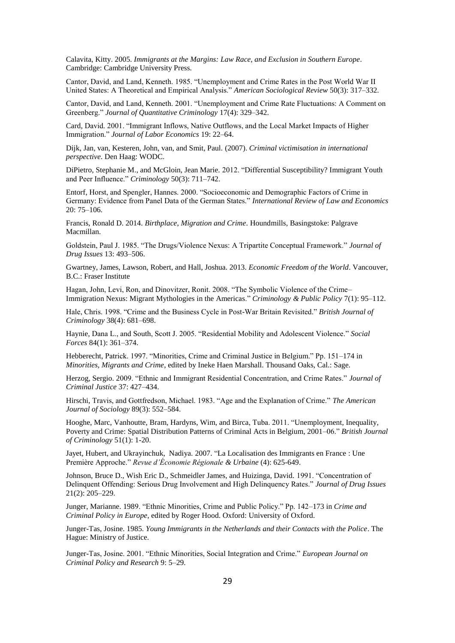Calavita, Kitty. 2005. *Immigrants at the Margins: Law Race, and Exclusion in Southern Europe*. Cambridge: Cambridge University Press.

Cantor, David, and Land, Kenneth. 1985. "Unemployment and Crime Rates in the Post World War II United States: A Theoretical and Empirical Analysis." *American Sociological Review* 50(3): 317–332.

Cantor, David, and Land, Kenneth. 2001. "Unemployment and Crime Rate Fluctuations: A Comment on Greenberg." *Journal of Quantitative Criminology* 17(4): 329–342.

Card, David. 2001. "Immigrant Inflows, Native Outflows, and the Local Market Impacts of Higher Immigration." *Journal of Labor Economics* 19: 22–64.

Dijk, Jan, van, Kesteren, John, van, and Smit, Paul. (2007). *Criminal victimisation in international perspective*. Den Haag: WODC.

DiPietro, Stephanie M., and McGloin, Jean Marie. 2012. "Differential Susceptibility? Immigrant Youth and Peer Influence." *Criminology* 50(3): 711–742.

Entorf, Horst, and Spengler, Hannes. 2000. "Socioeconomic and Demographic Factors of Crime in Germany: Evidence from Panel Data of the German States." *International Review of Law and Economics* 20: 75–106.

Francis, Ronald D. 2014. *Birthplace, Migration and Crime*. Houndmills, Basingstoke: Palgrave Macmillan.

Goldstein, Paul J. 1985. "The Drugs/Violence Nexus: A Tripartite Conceptual Framework." *Journal of Drug Issues* 13: 493–506.

Gwartney, James, Lawson, Robert, and Hall, Joshua. 2013. *Economic Freedom of the World*. Vancouver, B.C.: Fraser Institute

Hagan, John, Levi, Ron, and Dinovitzer, Ronit. 2008. "The Symbolic Violence of the Crime– Immigration Nexus: Migrant Mythologies in the Americas." *Criminology & Public Policy* 7(1): 95–112.

Hale, Chris. 1998. "Crime and the Business Cycle in Post-War Britain Revisited." *British Journal of Criminology* 38(4): 681–698.

Haynie, Dana L., and South, Scott J. 2005. "Residential Mobility and Adolescent Violence." *Social Forces* 84(1): 361–374.

Hebberecht, Patrick. 1997. "Minorities, Crime and Criminal Justice in Belgium." Pp. 151–174 in *Minorities, Migrants and Crime*, edited by Ineke Haen Marshall. Thousand Oaks, Cal.: Sage.

Herzog, Sergio. 2009. "Ethnic and Immigrant Residential Concentration, and Crime Rates." *Journal of Criminal Justice* 37: 427–434.

Hirschi, Travis, and Gottfredson, Michael. 1983. "Age and the Explanation of Crime." *The American Journal of Sociology* 89(3): 552–584.

[Hooghe,](http://bjc.oxfordjournals.org/search?author1=Marc+Hooghe&sortspec=date&submit=Submit) Marc, [Vanhoutte,](http://bjc.oxfordjournals.org/search?author1=Bram+Vanhoutte&sortspec=date&submit=Submit) Bram, [Hardyns,](http://bjc.oxfordjournals.org/search?author1=Wim+Hardyns&sortspec=date&submit=Submit) Wim, and [Birca,](http://bjc.oxfordjournals.org/search?author1=Tuba+Bircan&sortspec=date&submit=Submit) Tuba. 2011. "Unemployment, Inequality, Poverty and Crime: Spatial Distribution Patterns of Criminal Acts in Belgium, 2001–06." *British Journal of Criminology* 51(1): 1-20.

Jayet, Hubert, and Ukrayinchuk, Nadiya. 2007. "La Localisation des Immigrants en France : Une Première Approche." *Revue d'Économie Régionale & Urbaine* (4): 625-649.

Johnson, Bruce D., Wish Eric D., Schmeidler James, and Huizinga, David. 1991. "Concentration of Delinquent Offending: Serious Drug Involvement and High Delinquency Rates." *Journal of Drug Issues* 21(2): 205–229.

Junger, Marianne. 1989. "Ethnic Minorities, Crime and Public Policy." Pp. 142–173 in *Crime and Criminal Policy in Europe*, edited by Roger Hood. Oxford: University of Oxford.

Junger-Tas, Josine. 1985. *Young Immigrants in the Netherlands and their Contacts with the Police*. The Hague: Ministry of Justice.

Junger-Tas, Josine. 2001. "Ethnic Minorities, Social Integration and Crime." *European Journal on Criminal Policy and Research* 9: 5–29.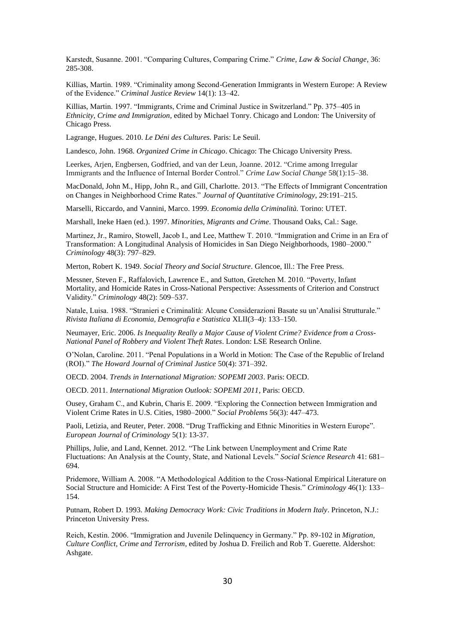Karstedt, Susanne. 2001. "Comparing Cultures, Comparing Crime." *Crime, Law & Social Change*, 36: 285-308.

Killias, Martin. 1989. "Criminality among Second-Generation Immigrants in Western Europe: A Review of the Evidence." *Criminal Justice Review* 14(1): 13–42.

Killias, Martin. 1997. "Immigrants, Crime and Criminal Justice in Switzerland." Pp. 375–405 in *Ethnicity, Crime and Immigration*, edited by Michael Tonry. Chicago and London: The University of Chicago Press.

Lagrange, Hugues. 2010. *Le Déni des Cultures.* Paris: Le Seuil.

Landesco, John. 1968. *Organized Crime in Chicago*. Chicago: The Chicago University Press.

Leerkes, Arjen, Engbersen, Godfried, and van der Leun, Joanne. 2012. "Crime among Irregular Immigrants and the Influence of Internal Border Control." *Crime Law Social Change* 58(1):15–38.

MacDonald, John M., Hipp, John R., and Gill, Charlotte. 2013. "The Effects of Immigrant Concentration on Changes in Neighborhood Crime Rates." *Journal of Quantitative Criminology*, 29:191–215.

Marselli, Riccardo, and Vannini, Marco. 1999. *Economia della Criminalità.* Torino: UTET.

Marshall, Ineke Haen (ed.). 1997. *Minorities, Migrants and Crime*. Thousand Oaks, Cal.: Sage.

Martinez, Jr., Ramiro, Stowell, Jacob I., and Lee, Matthew T. 2010. "Immigration and Crime in an Era of Transformation: A Longitudinal Analysis of Homicides in San Diego Neighborhoods, 1980–2000." *Criminology* [48\(3\): 7](http://onlinelibrary.wiley.com/doi/10.1111/crim.2010.48.issue-3/issuetoc)97–829.

Merton, Robert K. 1949. *Social Theory and Social Structure*. Glencoe, Ill.: The Free Press.

Messner, Steven F., Raffalovich, Lawrence E., and Sutton, Gretchen M. 2010. "Poverty, Infant Mortality, and Homicide Rates in Cross-National Perspective: Assessments of Criterion and Construct Validity." *Criminology* 48(2): 509–537.

Natale, Luisa. 1988. "Stranieri e Criminalità: Alcune Considerazioni Basate su un'Analisi Strutturale." *Rivista Italiana di Economia, Demografia e Statistica* XLII(3–4): 133–150.

Neumayer, Eric. 2006. *Is Inequality Really a Major Cause of Violent Crime? Evidence from a Cross-National Panel of Robbery and Violent Theft Rates*. London: LSE Research Online.

O'Nolan, Caroline. 2011. "Penal Populations in a World in Motion: The Case of the Republic of Ireland (ROI)." *The Howard Journal of Criminal Justice* 50(4): 371–392.

OECD. 2004. *Trends in International Migration: SOPEMI 2003*. Paris: OECD.

OECD. 2011. *International Migration Outlook: SOPEMI 2011*, Paris: OECD.

Ousey, Graham C., and Kubrin, Charis E. 2009. "Exploring the Connection between Immigration and Violent Crime Rates in U.S. Cities, 1980–2000." *Social Problems* 56(3): 447–473.

Paoli, Letizia, and Reuter, Peter. 2008. "Drug Trafficking and Ethnic Minorities in Western Europe". *European Journal of Criminology* 5(1): 13-37.

Phillips, Julie, and Land, Kennet. 2012. "The Link between Unemployment and Crime Rate Fluctuations: An Analysis at the County, State, and National Levels." *Social Science Research* 41: 681– 694.

Pridemore, William A. 2008. "A Methodological Addition to the Cross-National Empirical Literature on Social Structure and Homicide: A First Test of the Poverty-Homicide Thesis." *Criminology* 46(1): 133– 154.

Putnam, Robert D. 1993. *Making Democracy Work: Civic Traditions in Modern Italy*. Princeton, N.J.: Princeton University Press.

Reich, Kestin. 2006. "Immigration and Juvenile Delinquency in Germany." Pp. 89-102 in *[Migration,](http://librarysearch.lse.ac.uk/primo_library/libweb/action/display.do;jsessionid=FD07A7EAD2C063851C32CCDB715C1584?tabs=detailsTab&ct=display&fn=search&doc=44LSE_ALMA_DS21139652100002021&indx=2&recIds=44LSE_ALMA_DS21139652100002021&recIdxs=1&elementId=1&renderMode=poppedOut&displayMode=full&frbrVersion=11&dscnt=0&frbg=&scp.scps=scope%3A(44LSE)%2Cprimo_central_multiple_fe&tab=default_tab&dstmp=1429733314493&srt=rank&mode=Basic&&dum=true&w%20illustrations%20%20%20%20%20Published:%20November%202006%20%20%20%20%20Format:%20234%20x%20156%20mm%20%20%20%20%20Extent:%20248%20pages%20%20%20%20%20Binding:%20Hardback%20%20%20%20%20Other%20editions:%20%20%20%20%20ebook%20PDF,%20ebook%20ePUB%20%20%20%20%20ISBN:%20978-0-7546-2650-3%20%20%20%20%20Short%20ISBN:%209780754626503%20%20%20%20%20BL%20Reference:%20364)  [Culture Conflict, Crime and Terrorism](http://librarysearch.lse.ac.uk/primo_library/libweb/action/display.do;jsessionid=FD07A7EAD2C063851C32CCDB715C1584?tabs=detailsTab&ct=display&fn=search&doc=44LSE_ALMA_DS21139652100002021&indx=2&recIds=44LSE_ALMA_DS21139652100002021&recIdxs=1&elementId=1&renderMode=poppedOut&displayMode=full&frbrVersion=11&dscnt=0&frbg=&scp.scps=scope%3A(44LSE)%2Cprimo_central_multiple_fe&tab=default_tab&dstmp=1429733314493&srt=rank&mode=Basic&&dum=true&w%20illustrations%20%20%20%20%20Published:%20November%202006%20%20%20%20%20Format:%20234%20x%20156%20mm%20%20%20%20%20Extent:%20248%20pages%20%20%20%20%20Binding:%20Hardback%20%20%20%20%20Other%20editions:%20%20%20%20%20ebook%20PDF,%20ebook%20ePUB%20%20%20%20%20ISBN:%20978-0-7546-2650-3%20%20%20%20%20Short%20ISBN:%209780754626503%20%20%20%20%20BL%20Reference:%20364)*, edited by Joshua D. Freilich and Rob T. Guerette. Aldershot: Ashgate.